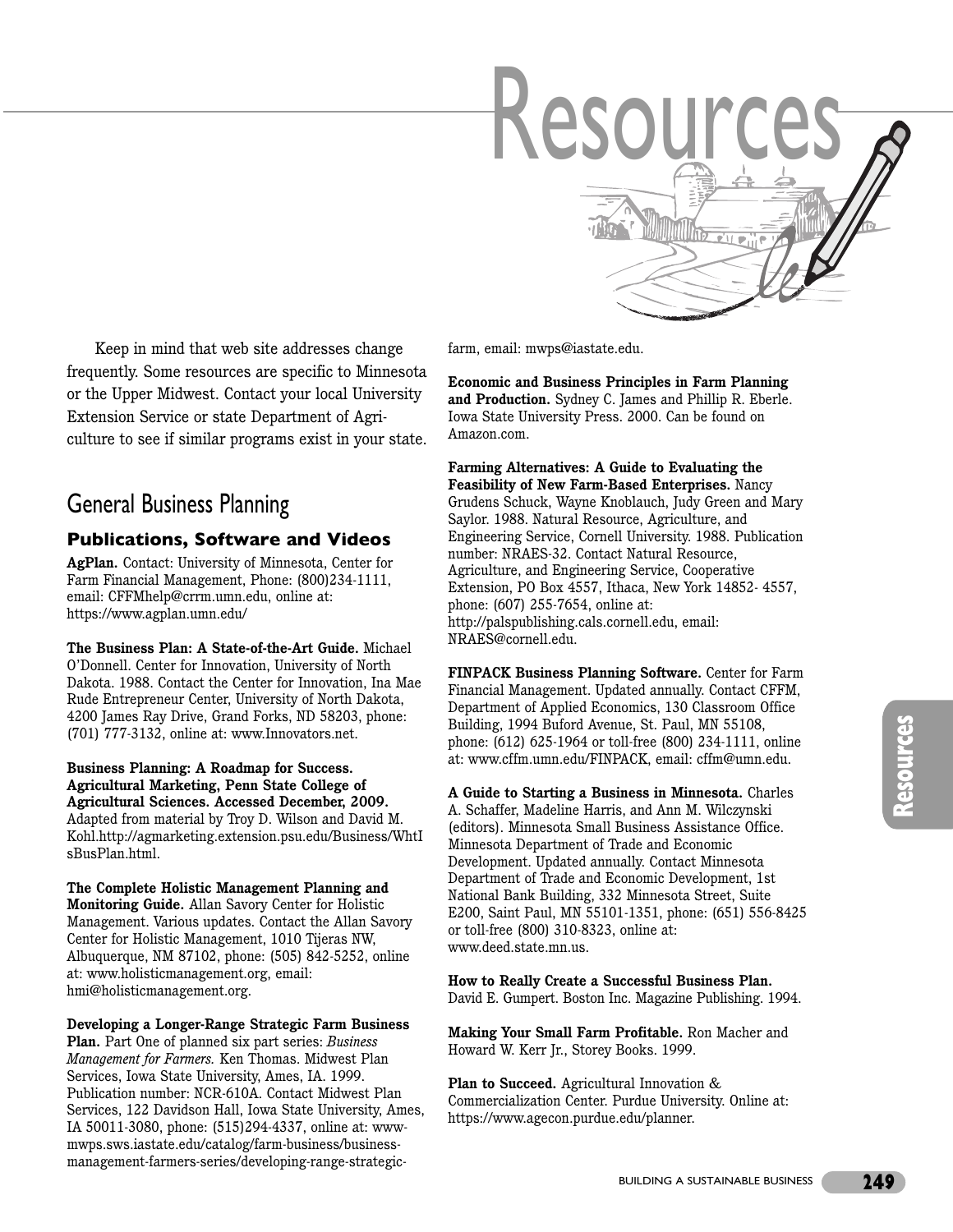

Keep in mind that web site addresses change frequently. Some resources are specific to Minnesota or the Upper Midwest. Contact your local University Extension Service or state Department of Agriculture to see if similar programs exist in your state.

# General Business Planning

### **Publications, Software and Videos**

**AgPlan.** Contact: University of Minnesota, Center for Farm Financial Management, Phone: (800)234-1111, email: CFFMhelp@crrm.umn.edu, online at: https://www.agplan.umn.edu/

**The Business Plan: A State-of-the-Art Guide.** Michael O'Donnell. Center for Innovation, University of North Dakota. 1988. Contact the Center for Innovation, Ina Mae Rude Entrepreneur Center, University of North Dakota, 4200 James Ray Drive, Grand Forks, ND 58203, phone: (701) 777-3132, online at: www.Innovators.net.

**Business Planning: A Roadmap for Success. Agricultural Marketing, Penn State College of Agricultural Sciences. Accessed December, 2009.** Adapted from material by Troy D. Wilson and David M. Kohl.http://agmarketing.extension.psu.edu/Business/WhtI sBusPlan.html.

**The Complete Holistic Management Planning and Monitoring Guide.** Allan Savory Center for Holistic Management. Various updates. Contact the Allan Savory Center for Holistic Management, 1010 Tijeras NW, Albuquerque, NM 87102, phone: (505) 842-5252, online at: www.holisticmanagement.org, email: hmi@holisticmanagement.org.

**Developing a Longer-Range Strategic Farm Business Plan.** Part One of planned six part series: *Business Management for Farmers.* Ken Thomas. Midwest Plan Services, Iowa State University, Ames, IA. 1999. Publication number: NCR-610A. Contact Midwest Plan Services, 122 Davidson Hall, Iowa State University, Ames, IA 50011-3080, phone: (515)294-4337, online at: wwwmwps.sws.iastate.edu/catalog/farm-business/businessmanagement-farmers-series/developing-range-strategicfarm, email: mwps@iastate.edu.

**Economic and Business Principles in Farm Planning and Production.** Sydney C. James and Phillip R. Eberle. Iowa State University Press. 2000. Can be found on Amazon.com.

**Farming Alternatives: A Guide to Evaluating the Feasibility of New Farm-Based Enterprises.** Nancy Grudens Schuck, Wayne Knoblauch, Judy Green and Mary Saylor. 1988. Natural Resource, Agriculture, and Engineering Service, Cornell University. 1988. Publication number: NRAES-32. Contact Natural Resource, Agriculture, and Engineering Service, Cooperative Extension, PO Box 4557, Ithaca, New York 14852- 4557, phone: (607) 255-7654, online at: http://palspublishing.cals.cornell.edu, email: NRAES@cornell.edu.

**FINPACK Business Planning Software.** Center for Farm Financial Management. Updated annually. Contact CFFM, Department of Applied Economics, 130 Classroom Office Building, 1994 Buford Avenue, St. Paul, MN 55108, phone: (612) 625-1964 or toll-free (800) 234-1111, online at: www.cffm.umn.edu/FINPACK, email: cffm@umn.edu.

**A Guide to Starting a Business in Minnesota.** Charles A. Schaffer, Madeline Harris, and Ann M. Wilczynski (editors). Minnesota Small Business Assistance Office. Minnesota Department of Trade and Economic Development. Updated annually. Contact Minnesota Department of Trade and Economic Development, 1st National Bank Building, 332 Minnesota Street, Suite E200, Saint Paul, MN 55101-1351, phone: (651) 556-8425 or toll-free (800) 310-8323, online at: www.deed.state.mn.us.

**How to Really Create a Successful Business Plan.** David E. Gumpert. Boston Inc. Magazine Publishing. 1994.

**Making Your Small Farm Profitable.** Ron Macher and Howard W. Kerr Jr., Storey Books. 1999.

**Plan to Succeed.** Agricultural Innovation & Commercialization Center. Purdue University. Online at: https://www.agecon.purdue.edu/planner.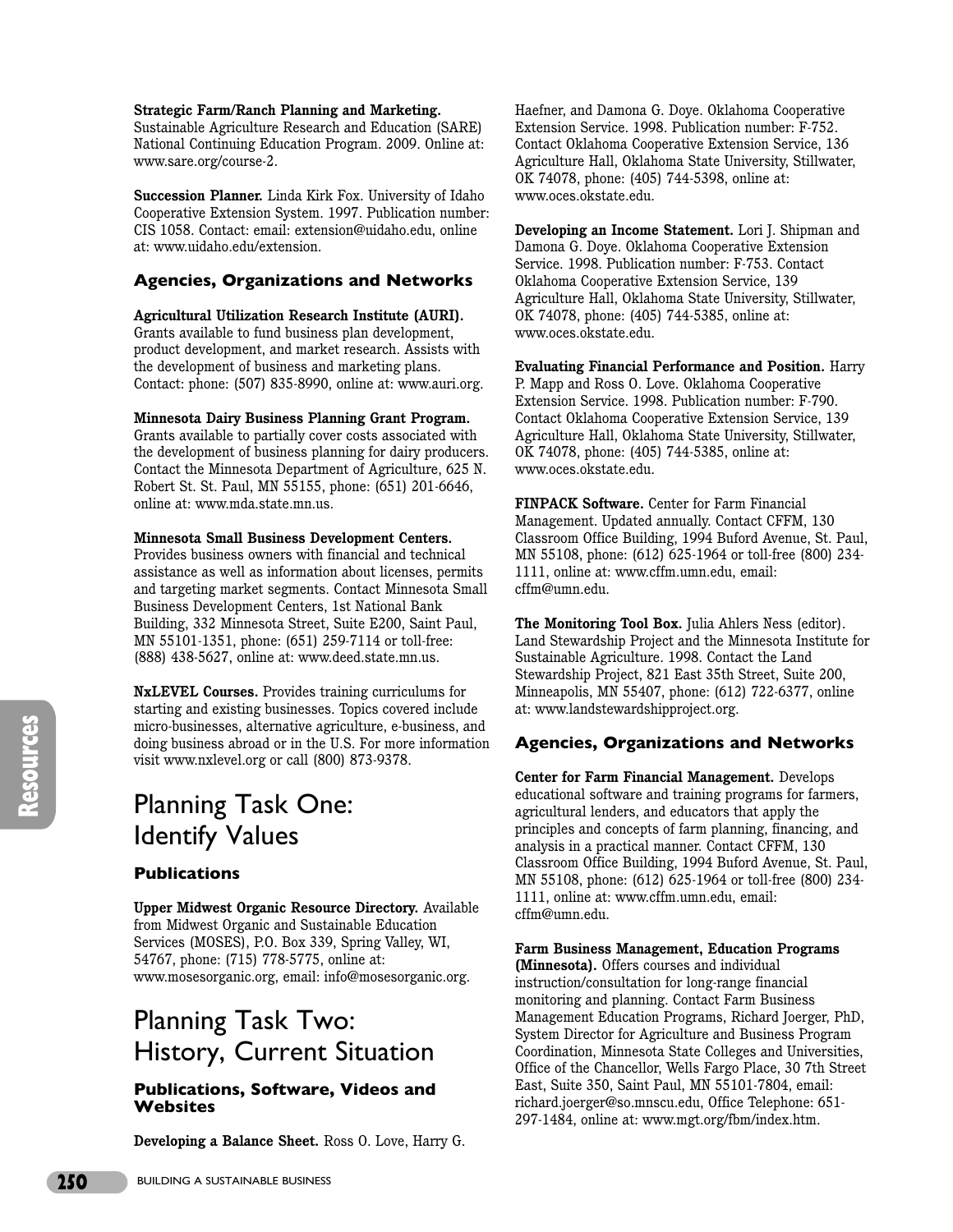#### **Strategic Farm/Ranch Planning and Marketing.**

Sustainable Agriculture Research and Education (SARE) National Continuing Education Program. 2009. Online at: www.sare.org/course-2.

**Succession Planner.** Linda Kirk Fox. University of Idaho Cooperative Extension System. 1997. Publication number: CIS 1058. Contact: email: extension@uidaho.edu, online at: www.uidaho.edu/extension.

#### **Agencies, Organizations and Networks**

**Agricultural Utilization Research Institute (AURI).** Grants available to fund business plan development, product development, and market research. Assists with the development of business and marketing plans. Contact: phone: (507) 835-8990, online at: www.auri.org.

#### **Minnesota Dairy Business Planning Grant Program.**

Grants available to partially cover costs associated with the development of business planning for dairy producers. Contact the Minnesota Department of Agriculture, 625 N. Robert St. St. Paul, MN 55155, phone: (651) 201-6646, online at: www.mda.state.mn.us.

#### **Minnesota Small Business Development Centers.**

Provides business owners with financial and technical assistance as well as information about licenses, permits and targeting market segments. Contact Minnesota Small Business Development Centers, 1st National Bank Building, 332 Minnesota Street, Suite E200, Saint Paul, MN 55101-1351, phone: (651) 259-7114 or toll-free: (888) 438-5627, online at: www.deed.state.mn.us.

**NxLEVEL Courses.** Provides training curriculums for starting and existing businesses. Topics covered include micro-businesses, alternative agriculture, e-business, and doing business abroad or in the U.S. For more information visit www.nxlevel.org or call (800) 873-9378.

## Planning Task One: **Identify Values**

#### **Publications**

**Upper Midwest Organic Resource Directory.** Available from Midwest Organic and Sustainable Education Services (MOSES), P.O. Box 339, Spring Valley, WI, 54767, phone: (715) 778-5775, online at: www.mosesorganic.org, email: info@mosesorganic.org.

# Planning Task Two: History, Current Situation

#### **Publications, Software, Videos and Websites**

**Developing a Balance Sheet.** Ross O. Love, Harry G.

Haefner, and Damona G. Doye. Oklahoma Cooperative Extension Service. 1998. Publication number: F-752. Contact Oklahoma Cooperative Extension Service, 136 Agriculture Hall, Oklahoma State University, Stillwater, OK 74078, phone: (405) 744-5398, online at: www.oces.okstate.edu.

**Developing an Income Statement.** Lori J. Shipman and Damona G. Doye. Oklahoma Cooperative Extension Service. 1998. Publication number: F-753. Contact Oklahoma Cooperative Extension Service, 139 Agriculture Hall, Oklahoma State University, Stillwater, OK 74078, phone: (405) 744-5385, online at: www.oces.okstate.edu.

**Evaluating Financial Performance and Position.** Harry P. Mapp and Ross O. Love. Oklahoma Cooperative Extension Service. 1998. Publication number: F-790. Contact Oklahoma Cooperative Extension Service, 139 Agriculture Hall, Oklahoma State University, Stillwater, OK 74078, phone: (405) 744-5385, online at: www.oces.okstate.edu.

**FINPACK Software.** Center for Farm Financial Management. Updated annually. Contact CFFM, 130 Classroom Office Building, 1994 Buford Avenue, St. Paul, MN 55108, phone: (612) 625-1964 or toll-free (800) 234- 1111, online at: www.cffm.umn.edu, email: cffm@umn.edu.

**The Monitoring Tool Box.** Julia Ahlers Ness (editor). Land Stewardship Project and the Minnesota Institute for Sustainable Agriculture. 1998. Contact the Land Stewardship Project, 821 East 35th Street, Suite 200, Minneapolis, MN 55407, phone: (612) 722-6377, online at: www.landstewardshipproject.org.

#### **Agencies, Organizations and Networks**

**Center for Farm Financial Management.** Develops educational software and training programs for farmers, agricultural lenders, and educators that apply the principles and concepts of farm planning, financing, and analysis in a practical manner. Contact CFFM, 130 Classroom Office Building, 1994 Buford Avenue, St. Paul, MN 55108, phone: (612) 625-1964 or toll-free (800) 234- 1111, online at: www.cffm.umn.edu, email: cffm@umn.edu.

#### **Farm Business Management, Education Programs**

**(Minnesota).** Offers courses and individual instruction/consultation for long-range financial monitoring and planning. Contact Farm Business Management Education Programs, Richard Joerger, PhD, System Director for Agriculture and Business Program Coordination, Minnesota State Colleges and Universities, Office of the Chancellor, Wells Fargo Place, 30 7th Street East, Suite 350, Saint Paul, MN 55101-7804, email: richard.joerger@so.mnscu.edu, Office Telephone: 651- 297-1484, online at: www.mgt.org/fbm/index.htm.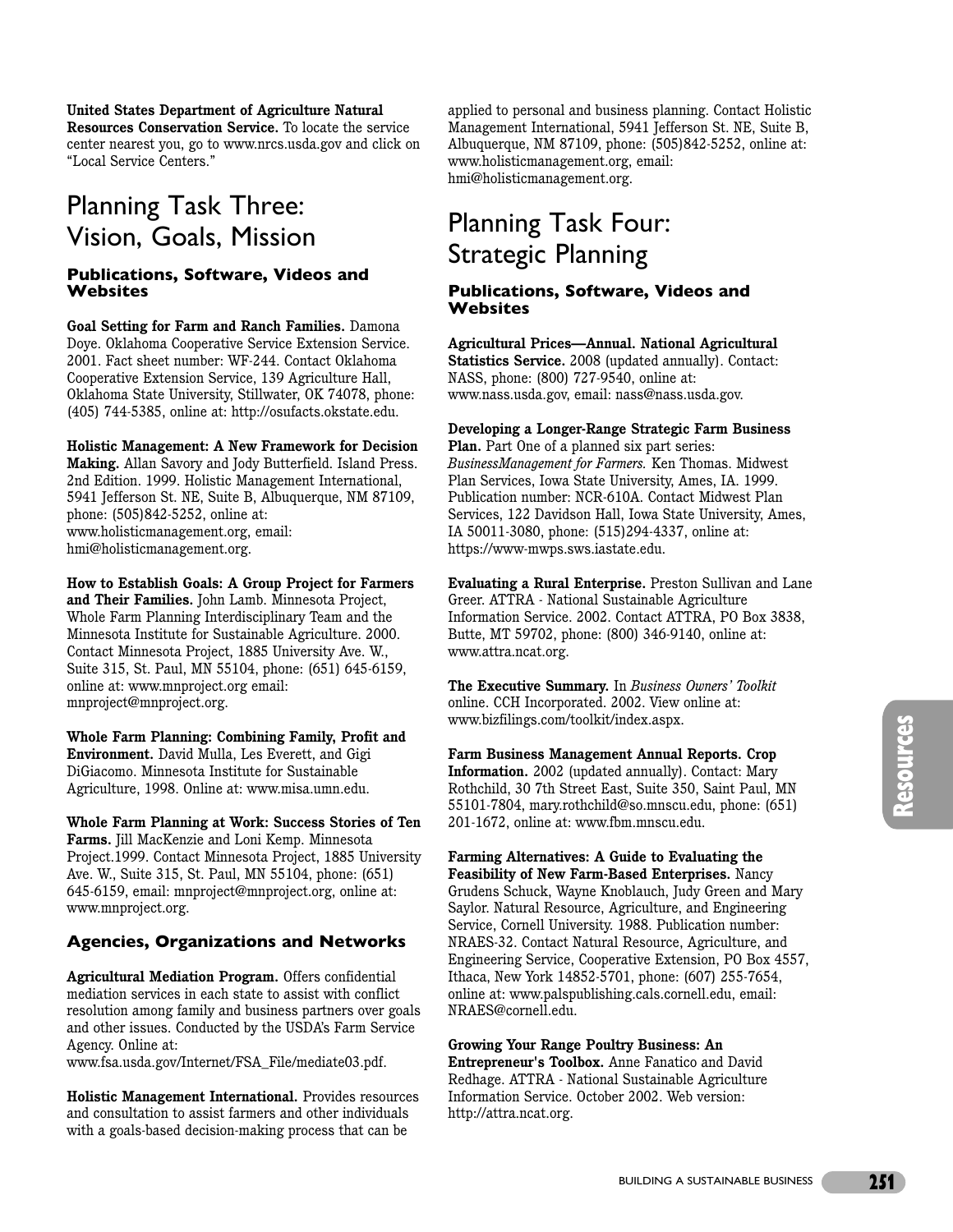**United States Department of Agriculture Natural Resources Conservation Service.** To locate the service center nearest you, go to www.nrcs.usda.gov and click on "Local Service Centers."

# Planning Task Three: Vision, goals, Mission

#### **Publications, Software, Videos and Websites**

**Goal Setting for Farm and Ranch Families.** Damona Doye. Oklahoma Cooperative Service Extension Service. 2001. Fact sheet number: WF-244. Contact Oklahoma Cooperative Extension Service, 139 Agriculture Hall, Oklahoma State University, Stillwater, OK 74078, phone: (405) 744-5385, online at: http://osufacts.okstate.edu.

**Holistic Management: A New Framework for Decision Making.** Allan Savory and Jody Butterfield. Island Press. 2nd Edition. 1999. Holistic Management International, 5941 Jefferson St. NE, Suite B, Albuquerque, NM 87109, phone: (505)842-5252, online at: www.holisticmanagement.org, email: hmi@holisticmanagement.org.

**How to Establish Goals: A Group Project for Farmers and Their Families.** John Lamb. Minnesota Project, Whole Farm Planning Interdisciplinary Team and the Minnesota Institute for Sustainable Agriculture. 2000. Contact Minnesota Project, 1885 University Ave. W., Suite 315, St. Paul, MN 55104, phone: (651) 645-6159, online at: www.mnproject.org email: mnproject@mnproject.org.

**Whole Farm Planning: Combining Family, Profit and Environment.** David Mulla, Les Everett, and Gigi DiGiacomo. Minnesota Institute for Sustainable Agriculture, 1998. Online at: www.misa.umn.edu.

**Whole Farm Planning at Work: Success Stories of Ten Farms.** Jill MacKenzie and Loni Kemp. Minnesota Project.1999. Contact Minnesota Project, 1885 University Ave. W., Suite 315, St. Paul, MN 55104, phone: (651) 645-6159, email: mnproject@mnproject.org, online at: www.mnproject.org.

#### **Agencies, Organizations and Networks**

**Agricultural Mediation Program.** Offers confidential mediation services in each state to assist with conflict resolution among family and business partners over goals and other issues. Conducted by the USDA's Farm Service Agency. Online at:

www.fsa.usda.gov/Internet/FSA\_File/mediate03.pdf.

**Holistic Management International.** Provides resources and consultation to assist farmers and other individuals with a goals-based decision-making process that can be

applied to personal and business planning. Contact Holistic Management International, 5941 Jefferson St. NE, Suite B, Albuquerque, NM 87109, phone: (505)842-5252, online at: www.holisticmanagement.org, email: hmi@holisticmanagement.org.

# Planning Task Four: Strategic Planning

#### **Publications, Software, Videos and Websites**

**Agricultural Prices—Annual. National Agricultural Statistics Service.** 2008 (updated annually). Contact: NASS, phone: (800) 727-9540, online at: www.nass.usda.gov, email: nass@nass.usda.gov.

**Developing a Longer-Range Strategic Farm Business Plan.** Part One of a planned six part series: *BusinessManagement for Farmers.* Ken Thomas. Midwest Plan Services, Iowa State University, Ames, IA. 1999. Publication number: NCR-610A. Contact Midwest Plan Services, 122 Davidson Hall, Iowa State University, Ames, IA 50011-3080, phone: (515)294-4337, online at: https://www-mwps.sws.iastate.edu.

**Evaluating a Rural Enterprise.** Preston Sullivan and Lane Greer. ATTRA - National Sustainable Agriculture Information Service. 2002. Contact ATTRA, PO Box 3838, Butte, MT 59702, phone: (800) 346-9140, online at: www.attra.ncat.org.

**The Executive Summary.** In *Business Owners' Toolkit* online. CCH Incorporated. 2002. View online at: www.bizfilings.com/toolkit/index.aspx.

**Farm Business Management Annual Reports. Crop Information.** 2002 (updated annually). Contact: Mary Rothchild, 30 7th Street East, Suite 350, Saint Paul, MN 55101-7804, mary.rothchild@so.mnscu.edu, phone: (651) 201-1672, online at: www.fbm.mnscu.edu.

**Farming Alternatives: A Guide to Evaluating the Feasibility of New Farm-Based Enterprises.** Nancy Grudens Schuck, Wayne Knoblauch, Judy Green and Mary Saylor. Natural Resource, Agriculture, and Engineering Service, Cornell University. 1988. Publication number: NRAES-32. Contact Natural Resource, Agriculture, and Engineering Service, Cooperative Extension, PO Box 4557, Ithaca, New York 14852-5701, phone: (607) 255-7654, online at: www.palspublishing.cals.cornell.edu, email: NRAES@cornell.edu.

**Growing Your Range Poultry Business: An Entrepreneur's Toolbox.** Anne Fanatico and David Redhage. ATTRA - National Sustainable Agriculture Information Service. October 2002. Web version: http://attra.ncat.org.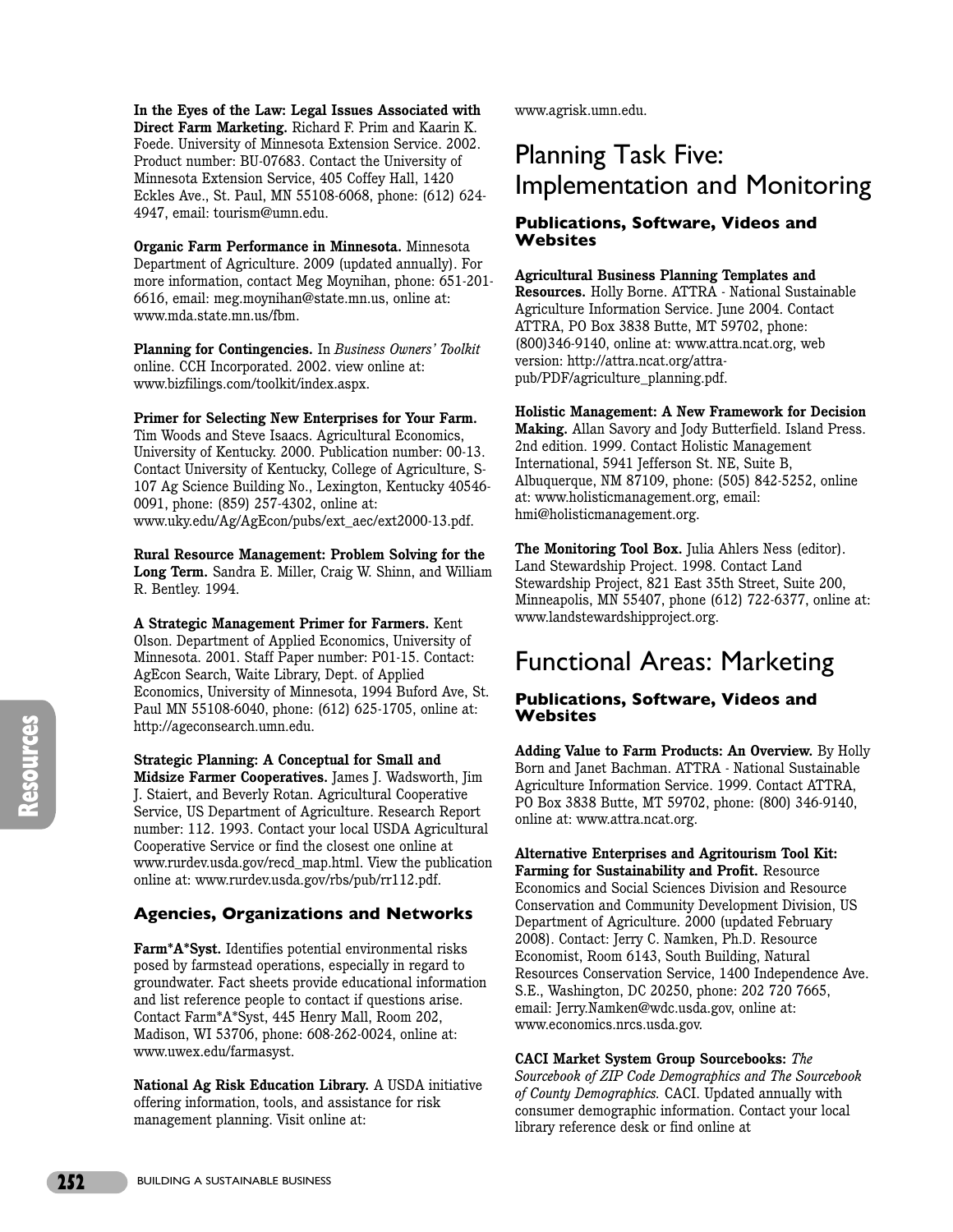**In the Eyes of the Law: Legal Issues Associated with Direct Farm Marketing.** Richard F. Prim and Kaarin K. Foede. University of Minnesota Extension Service. 2002. Product number: BU-07683. Contact the University of Minnesota Extension Service, 405 Coffey Hall, 1420 Eckles Ave., St. Paul, MN 55108-6068, phone: (612) 624- 4947, email: tourism@umn.edu.

**Organic Farm Performance in Minnesota.** Minnesota Department of Agriculture. 2009 (updated annually). For more information, contact Meg Moynihan, phone: 651-201- 6616, email: meg.moynihan@state.mn.us, online at: www.mda.state.mn.us/fbm.

**Planning for Contingencies.** In *Business Owners' Toolkit* online. CCH Incorporated. 2002. view online at: www.bizfilings.com/toolkit/index.aspx.

#### **Primer for Selecting New Enterprises for Your Farm.**

Tim Woods and Steve Isaacs. Agricultural Economics, University of Kentucky. 2000. Publication number: 00-13. Contact University of Kentucky, College of Agriculture, S-107 Ag Science Building No., Lexington, Kentucky 40546- 0091, phone: (859) 257-4302, online at: www.uky.edu/Ag/AgEcon/pubs/ext\_aec/ext2000-13.pdf.

**Rural Resource Management: Problem Solving for the Long Term.** Sandra E. Miller, Craig W. Shinn, and William R. Bentley. 1994.

**A Strategic Management Primer for Farmers.** Kent Olson. Department of Applied Economics, University of Minnesota. 2001. Staff Paper number: P01-15. Contact: AgEcon Search, Waite Library, Dept. of Applied Economics, University of Minnesota, 1994 Buford Ave, St. Paul MN 55108-6040, phone: (612) 625-1705, online at: http://ageconsearch.umn.edu.

**Strategic Planning: A Conceptual for Small and Midsize Farmer Cooperatives.** James J. Wadsworth, Jim J. Staiert, and Beverly Rotan. Agricultural Cooperative Service, US Department of Agriculture. Research Report number: 112. 1993. Contact your local USDA Agricultural Cooperative Service or find the closest one online at www.rurdev.usda.gov/recd\_map.html. View the publication online at: www.rurdev.usda.gov/rbs/pub/rr112.pdf.

#### **Agencies, Organizations and Networks**

**Farm\*A\*Syst.** Identifies potential environmental risks posed by farmstead operations, especially in regard to groundwater. Fact sheets provide educational information and list reference people to contact if questions arise. Contact Farm\*A\*Syst, 445 Henry Mall, Room 202, Madison, WI 53706, phone: 608-262-0024, online at: www.uwex.edu/farmasyst.

**National Ag Risk Education Library.** A USDA initiative offering information, tools, and assistance for risk management planning. Visit online at:

www.agrisk.umn.edu.

# Planning Task Five: implementation and Monitoring

#### **Publications, Software, Videos and Websites**

#### **Agricultural Business Planning Templates and**

**Resources.** Holly Borne. ATTRA - National Sustainable Agriculture Information Service. June 2004. Contact ATTRA, PO Box 3838 Butte, MT 59702, phone: (800)346-9140, online at: www.attra.ncat.org, web version: http://attra.ncat.org/attrapub/PDF/agriculture\_planning.pdf.

#### **Holistic Management: A New Framework for Decision**

**Making.** Allan Savory and Jody Butterfield. Island Press. 2nd edition. 1999. Contact Holistic Management International, 5941 Jefferson St. NE, Suite B, Albuquerque, NM 87109, phone: (505) 842-5252, online at: www.holisticmanagement.org, email: hmi@holisticmanagement.org.

**The Monitoring Tool Box.** Julia Ahlers Ness (editor). Land Stewardship Project. 1998. Contact Land Stewardship Project, 821 East 35th Street, Suite 200, Minneapolis, MN 55407, phone (612) 722-6377, online at: www.landstewardshipproject.org.

# **Functional Areas: Marketing**

#### **Publications, Software, Videos and Websites**

**Adding Value to Farm Products: An Overview.** By Holly Born and Janet Bachman. ATTRA - National Sustainable Agriculture Information Service. 1999. Contact ATTRA, PO Box 3838 Butte, MT 59702, phone: (800) 346-9140, online at: www.attra.ncat.org.

**Alternative Enterprises and Agritourism Tool Kit: Farming for Sustainability and Profit.** Resource Economics and Social Sciences Division and Resource Conservation and Community Development Division, US Department of Agriculture. 2000 (updated February 2008). Contact: Jerry C. Namken, Ph.D. Resource Economist, Room 6143, South Building, Natural Resources Conservation Service, 1400 Independence Ave. S.E., Washington, DC 20250, phone: 202 720 7665, email: Jerry.Namken@wdc.usda.gov, online at: www.economics.nrcs.usda.gov.

#### **CACI Market System Group Sourcebooks:** *The*

*Sourcebook of ZIP Code Demographics and The Sourcebook of County Demographics.* CACI. Updated annually with consumer demographic information. Contact your local library reference desk or find online at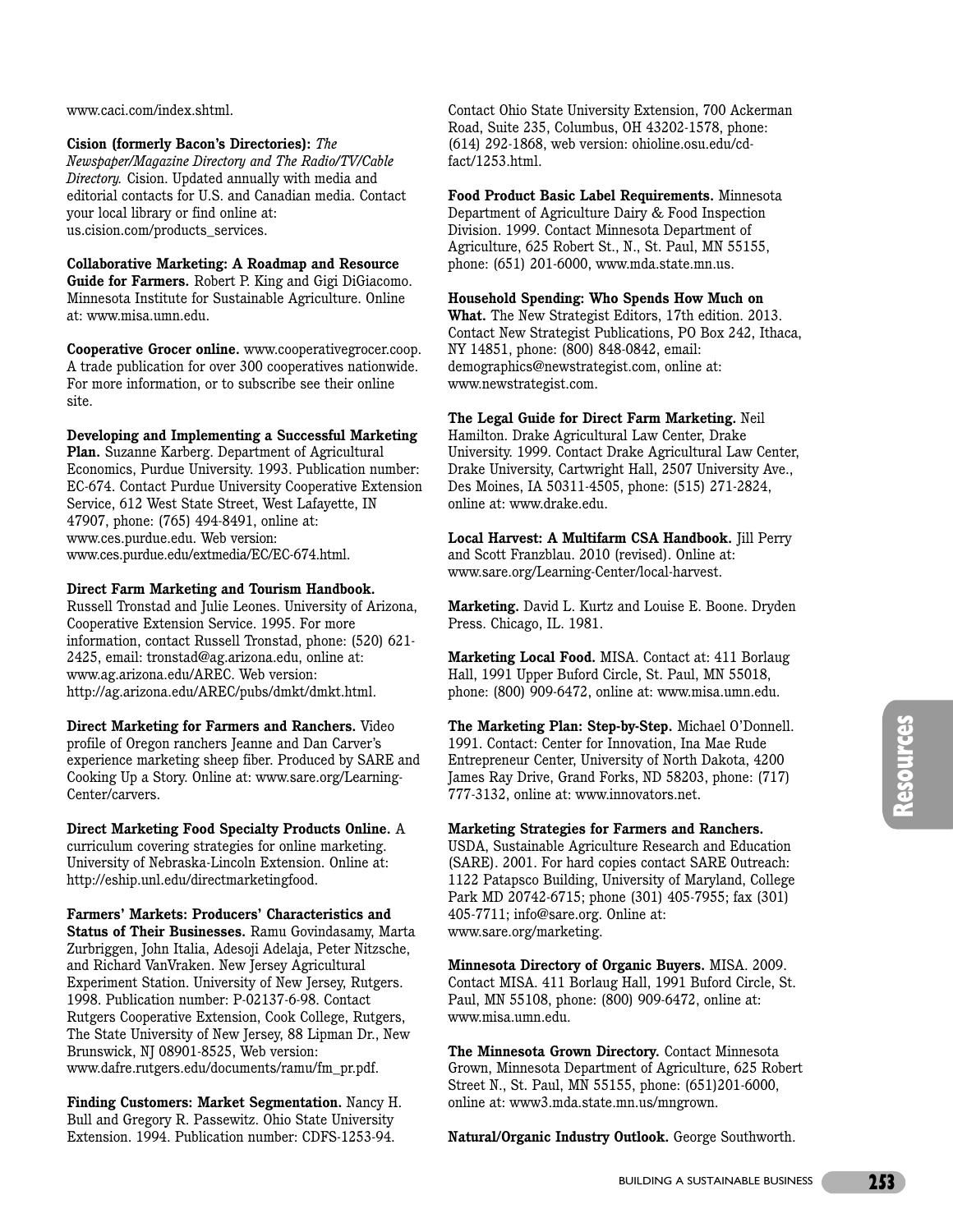www.caci.com/index.shtml.

**Cision (formerly Bacon's Directories):** *The*

*Newspaper/Magazine Directory and The Radio/TV/Cable Directory.* Cision. Updated annually with media and editorial contacts for U.S. and Canadian media. Contact your local library or find online at: us.cision.com/products\_services.

**Collaborative Marketing: A Roadmap and Resource Guide for Farmers.** Robert P. King and Gigi DiGiacomo. Minnesota Institute for Sustainable Agriculture. Online at: www.misa.umn.edu.

**Cooperative Grocer online.** www.cooperativegrocer.coop. A trade publication for over 300 cooperatives nationwide. For more information, or to subscribe see their online site.

**Developing and Implementing a Successful Marketing Plan.** Suzanne Karberg. Department of Agricultural Economics, Purdue University. 1993. Publication number: EC-674. Contact Purdue University Cooperative Extension Service, 612 West State Street, West Lafayette, IN 47907, phone: (765) 494-8491, online at: www.ces.purdue.edu. Web version: www.ces.purdue.edu/extmedia/EC/EC-674.html.

**Direct Farm Marketing and Tourism Handbook.**

Russell Tronstad and Julie Leones. University of Arizona, Cooperative Extension Service. 1995. For more information, contact Russell Tronstad, phone: (520) 621- 2425, email: tronstad@ag.arizona.edu, online at: www.ag.arizona.edu/AREC. Web version: http://ag.arizona.edu/AREC/pubs/dmkt/dmkt.html.

**Direct Marketing for Farmers and Ranchers.** Video profile of Oregon ranchers Jeanne and Dan Carver's experience marketing sheep fiber. Produced by SARE and Cooking Up a Story. Online at: www.sare.org/Learning-Center/carvers.

**Direct Marketing Food Specialty Products Online.** A curriculum covering strategies for online marketing. University of Nebraska-Lincoln Extension. Online at: http://eship.unl.edu/directmarketingfood.

**Farmers' Markets: Producers' Characteristics and Status of Their Businesses.** Ramu Govindasamy, Marta Zurbriggen, John Italia, Adesoji Adelaja, Peter Nitzsche, and Richard VanVraken. New Jersey Agricultural Experiment Station. University of New Jersey, Rutgers. 1998. Publication number: P-02137-6-98. Contact Rutgers Cooperative Extension, Cook College, Rutgers, The State University of New Jersey, 88 Lipman Dr., New Brunswick, NJ 08901-8525, Web version: www.dafre.rutgers.edu/documents/ramu/fm\_pr.pdf.

**Finding Customers: Market Segmentation.** Nancy H. Bull and Gregory R. Passewitz. Ohio State University Extension. 1994. Publication number: CDFS-1253-94.

Contact Ohio State University Extension, 700 Ackerman Road, Suite 235, Columbus, OH 43202-1578, phone: (614) 292-1868, web version: ohioline.osu.edu/cdfact/1253.html.

**Food Product Basic Label Requirements.** Minnesota Department of Agriculture Dairy & Food Inspection Division. 1999. Contact Minnesota Department of Agriculture, 625 Robert St., N., St. Paul, MN 55155, phone: (651) 201-6000, www.mda.state.mn.us.

**Household Spending: Who Spends How Much on What.** The New Strategist Editors, 17th edition. 2013. Contact New Strategist Publications, PO Box 242, Ithaca, NY 14851, phone: (800) 848-0842, email: demographics@newstrategist.com, online at: www.newstrategist.com.

**The Legal Guide for Direct Farm Marketing.** Neil Hamilton. Drake Agricultural Law Center, Drake University. 1999. Contact Drake Agricultural Law Center, Drake University, Cartwright Hall, 2507 University Ave., Des Moines, IA 50311-4505, phone: (515) 271-2824, online at: www.drake.edu.

**Local Harvest: A Multifarm CSA Handbook.** Jill Perry and Scott Franzblau. 2010 (revised). Online at: www.sare.org/Learning-Center/local-harvest.

**Marketing.** David L. Kurtz and Louise E. Boone. Dryden Press. Chicago, IL. 1981.

**Marketing Local Food.** MISA. Contact at: 411 Borlaug Hall, 1991 Upper Buford Circle, St. Paul, MN 55018, phone: (800) 909-6472, online at: www.misa.umn.edu.

**The Marketing Plan: Step-by-Step.** Michael O'Donnell. 1991. Contact: Center for Innovation, Ina Mae Rude Entrepreneur Center, University of North Dakota, 4200 James Ray Drive, Grand Forks, ND 58203, phone: (717) 777-3132, online at: www.innovators.net.

#### **Marketing Strategies for Farmers and Ranchers.**

USDA, Sustainable Agriculture Research and Education (SARE). 2001. For hard copies contact SARE Outreach: 1122 Patapsco Building, University of Maryland, College Park MD 20742-6715; phone (301) 405-7955; fax (301) 405-7711; info@sare.org. Online at: www.sare.org/marketing.

**Minnesota Directory of Organic Buyers.** MISA. 2009. Contact MISA. 411 Borlaug Hall, 1991 Buford Circle, St. Paul, MN 55108, phone: (800) 909-6472, online at: www.misa.umn.edu.

**The Minnesota Grown Directory.** Contact Minnesota Grown, Minnesota Department of Agriculture, 625 Robert Street N., St. Paul, MN 55155, phone: (651)201-6000, online at: www3.mda.state.mn.us/mngrown.

**Natural/Organic Industry Outlook.** George Southworth.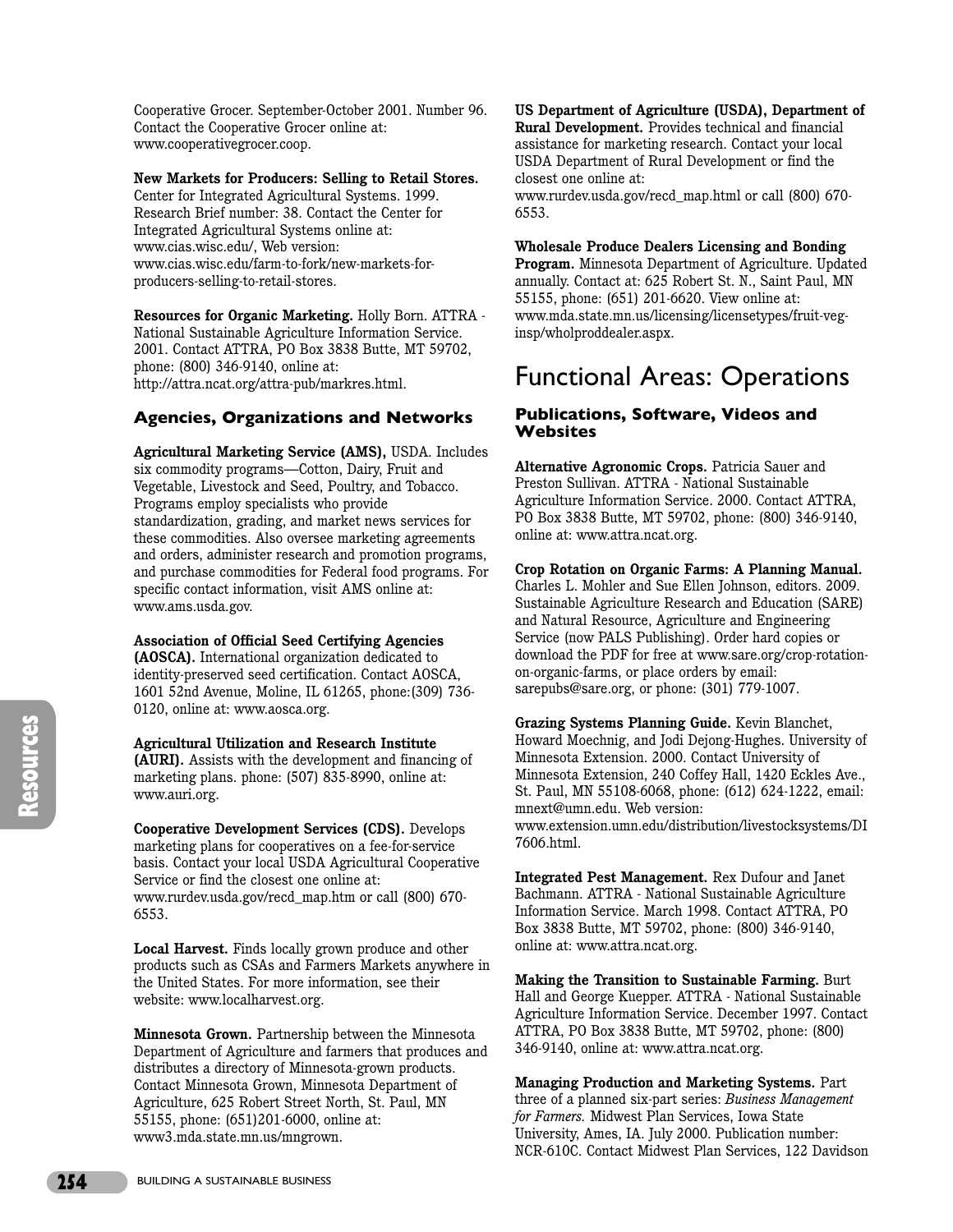Cooperative Grocer. September-October 2001. Number 96. Contact the Cooperative Grocer online at: www.cooperativegrocer.coop.

#### **New Markets for Producers: Selling to Retail Stores.**

Center for Integrated Agricultural Systems. 1999. Research Brief number: 38. Contact the Center for Integrated Agricultural Systems online at: www.cias.wisc.edu/, Web version: www.cias.wisc.edu/farm-to-fork/new-markets-forproducers-selling-to-retail-stores.

**Resources for Organic Marketing.** Holly Born. ATTRA - National Sustainable Agriculture Information Service. 2001. Contact ATTRA, PO Box 3838 Butte, MT 59702, phone: (800) 346-9140, online at: http://attra.ncat.org/attra-pub/markres.html.

#### **Agencies, Organizations and Networks**

**Agricultural Marketing Service (AMS),** USDA. Includes six commodity programs—Cotton, Dairy, Fruit and Vegetable, Livestock and Seed, Poultry, and Tobacco. Programs employ specialists who provide standardization, grading, and market news services for these commodities. Also oversee marketing agreements and orders, administer research and promotion programs, and purchase commodities for Federal food programs. For specific contact information, visit AMS online at: www.ams.usda.gov.

#### **Association of Official Seed Certifying Agencies**

**(AOSCA).** International organization dedicated to identity-preserved seed certification. Contact AOSCA, 1601 52nd Avenue, Moline, IL 61265, phone:(309) 736- 0120, online at: www.aosca.org.

**Agricultural Utilization and Research Institute (AURI).** Assists with the development and financing of marketing plans. phone: (507) 835-8990, online at: www.auri.org.

**Cooperative Development Services (CDS).** Develops marketing plans for cooperatives on a fee-for-service basis. Contact your local USDA Agricultural Cooperative Service or find the closest one online at: www.rurdev.usda.gov/recd\_map.htm or call (800) 670- 6553.

**Local Harvest.** Finds locally grown produce and other products such as CSAs and Farmers Markets anywhere in the United States. For more information, see their website: www.localharvest.org.

**Minnesota Grown.** Partnership between the Minnesota Department of Agriculture and farmers that produces and distributes a directory of Minnesota-grown products. Contact Minnesota Grown, Minnesota Department of Agriculture, 625 Robert Street North, St. Paul, MN 55155, phone: (651)201-6000, online at: www3.mda.state.mn.us/mngrown.

**US Department of Agriculture (USDA), Department of Rural Development.** Provides technical and financial assistance for marketing research. Contact your local USDA Department of Rural Development or find the closest one online at:

www.rurdev.usda.gov/recd\_map.html or call (800) 670- 6553.

**Wholesale Produce Dealers Licensing and Bonding Program.** Minnesota Department of Agriculture. Updated annually. Contact at: 625 Robert St. N., Saint Paul, MN 55155, phone: (651) 201-6620. View online at: www.mda.state.mn.us/licensing/licensetypes/fruit-veginsp/wholproddealer.aspx.

# **Functional Areas: Operations**

#### **Publications, Software, Videos and Websites**

**Alternative Agronomic Crops.** Patricia Sauer and Preston Sullivan. ATTRA - National Sustainable Agriculture Information Service. 2000. Contact ATTRA, PO Box 3838 Butte, MT 59702, phone: (800) 346-9140, online at: www.attra.ncat.org.

**Crop Rotation on Organic Farms: A Planning Manual.** Charles L. Mohler and Sue Ellen Johnson, editors. 2009. Sustainable Agriculture Research and Education (SARE) and Natural Resource, Agriculture and Engineering Service (now PALS Publishing). Order hard copies or download the PDF for free at www.sare.org/crop-rotationon-organic-farms, or place orders by email: sarepubs@sare.org, or phone: (301) 779-1007.

**Grazing Systems Planning Guide.** Kevin Blanchet, Howard Moechnig, and Jodi Dejong-Hughes. University of Minnesota Extension. 2000. Contact University of Minnesota Extension, 240 Coffey Hall, 1420 Eckles Ave., St. Paul, MN 55108-6068, phone: (612) 624-1222, email: mnext@umn.edu. Web version: www.extension.umn.edu/distribution/livestocksystems/DI 7606.html.

**Integrated Pest Management.** Rex Dufour and Janet Bachmann. ATTRA - National Sustainable Agriculture Information Service. March 1998. Contact ATTRA, PO Box 3838 Butte, MT 59702, phone: (800) 346-9140, online at: www.attra.ncat.org.

**Making the Transition to Sustainable Farming.** Burt Hall and George Kuepper. ATTRA - National Sustainable Agriculture Information Service. December 1997. Contact ATTRA, PO Box 3838 Butte, MT 59702, phone: (800) 346-9140, online at: www.attra.ncat.org.

**Managing Production and Marketing Systems.** Part three of a planned six-part series: *Business Management for Farmers.* Midwest Plan Services, Iowa State University, Ames, IA. July 2000. Publication number: NCR-610C. Contact Midwest Plan Services, 122 Davidson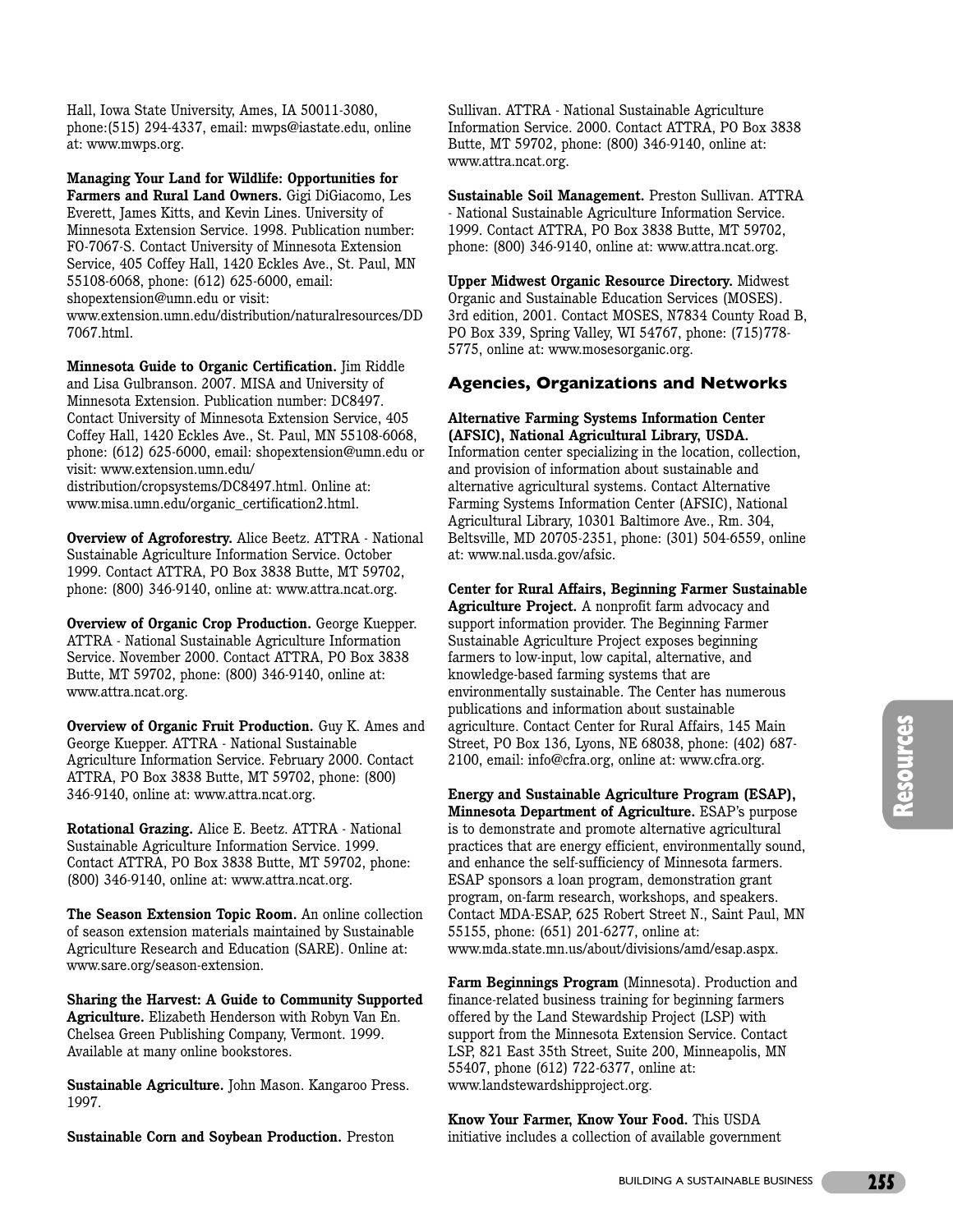Hall, Iowa State University, Ames, IA 50011-3080, phone:(515) 294-4337, email: mwps@iastate.edu, online at: www.mwps.org.

**Managing Your Land for Wildlife: Opportunities for Farmers and Rural Land Owners.** Gigi DiGiacomo, Les Everett, James Kitts, and Kevin Lines. University of Minnesota Extension Service. 1998. Publication number: FO-7067-S. Contact University of Minnesota Extension Service, 405 Coffey Hall, 1420 Eckles Ave., St. Paul, MN 55108-6068, phone: (612) 625-6000, email: shopextension@umn.edu or visit: www.extension.umn.edu/distribution/naturalresources/DD 7067.html.

**Minnesota Guide to Organic Certification.** Jim Riddle and Lisa Gulbranson. 2007. MISA and University of Minnesota Extension. Publication number: DC8497. Contact University of Minnesota Extension Service, 405 Coffey Hall, 1420 Eckles Ave., St. Paul, MN 55108-6068, phone: (612) 625-6000, email: shopextension@umn.edu or visit: www.extension.umn.edu/ distribution/cropsystems/DC8497.html. Online at: www.misa.umn.edu/organic\_certification2.html.

**Overview of Agroforestry.** Alice Beetz. ATTRA - National Sustainable Agriculture Information Service. October 1999. Contact ATTRA, PO Box 3838 Butte, MT 59702, phone: (800) 346-9140, online at: www.attra.ncat.org.

**Overview of Organic Crop Production.** George Kuepper. ATTRA - National Sustainable Agriculture Information Service. November 2000. Contact ATTRA, PO Box 3838 Butte, MT 59702, phone: (800) 346-9140, online at: www.attra.ncat.org.

**Overview of Organic Fruit Production.** Guy K. Ames and George Kuepper. ATTRA - National Sustainable Agriculture Information Service. February 2000. Contact ATTRA, PO Box 3838 Butte, MT 59702, phone: (800) 346-9140, online at: www.attra.ncat.org.

**Rotational Grazing.** Alice E. Beetz. ATTRA - National Sustainable Agriculture Information Service. 1999. Contact ATTRA, PO Box 3838 Butte, MT 59702, phone: (800) 346-9140, online at: www.attra.ncat.org.

**The Season Extension Topic Room.** An online collection of season extension materials maintained by Sustainable Agriculture Research and Education (SARE). Online at: www.sare.org/season-extension.

**Sharing the Harvest: A Guide to Community Supported Agriculture.** Elizabeth Henderson with Robyn Van En. Chelsea Green Publishing Company, Vermont. 1999. Available at many online bookstores.

**Sustainable Agriculture.** John Mason. Kangaroo Press. 1997.

**Sustainable Corn and Soybean Production.** Preston

Sullivan. ATTRA - National Sustainable Agriculture Information Service. 2000. Contact ATTRA, PO Box 3838 Butte, MT 59702, phone: (800) 346-9140, online at: www.attra.ncat.org.

**Sustainable Soil Management.** Preston Sullivan. ATTRA - National Sustainable Agriculture Information Service. 1999. Contact ATTRA, PO Box 3838 Butte, MT 59702, phone: (800) 346-9140, online at: www.attra.ncat.org.

**Upper Midwest Organic Resource Directory.** Midwest Organic and Sustainable Education Services (MOSES). 3rd edition, 2001. Contact MOSES, N7834 County Road B, PO Box 339, Spring Valley, WI 54767, phone: (715)778- 5775, online at: www.mosesorganic.org.

#### **Agencies, Organizations and Networks**

#### **Alternative Farming Systems Information Center (AFSIC), National Agricultural Library, USDA.**

Information center specializing in the location, collection, and provision of information about sustainable and alternative agricultural systems. Contact Alternative Farming Systems Information Center (AFSIC), National Agricultural Library, 10301 Baltimore Ave., Rm. 304, Beltsville, MD 20705-2351, phone: (301) 504-6559, online at: www.nal.usda.gov/afsic.

**Center for Rural Affairs, Beginning Farmer Sustainable Agriculture Project.** A nonprofit farm advocacy and

support information provider. The Beginning Farmer Sustainable Agriculture Project exposes beginning farmers to low-input, low capital, alternative, and knowledge-based farming systems that are environmentally sustainable. The Center has numerous publications and information about sustainable agriculture. Contact Center for Rural Affairs, 145 Main Street, PO Box 136, Lyons, NE 68038, phone: (402) 687- 2100, email: info@cfra.org, online at: www.cfra.org.

**Energy and Sustainable Agriculture Program (ESAP), Minnesota Department of Agriculture.** ESAP's purpose is to demonstrate and promote alternative agricultural practices that are energy efficient, environmentally sound, and enhance the self-sufficiency of Minnesota farmers. ESAP sponsors a loan program, demonstration grant program, on-farm research, workshops, and speakers. Contact MDA-ESAP, 625 Robert Street N., Saint Paul, MN 55155, phone: (651) 201-6277, online at: www.mda.state.mn.us/about/divisions/amd/esap.aspx.

**Farm Beginnings Program** (Minnesota). Production and finance-related business training for beginning farmers offered by the Land Stewardship Project (LSP) with support from the Minnesota Extension Service. Contact LSP, 821 East 35th Street, Suite 200, Minneapolis, MN 55407, phone (612) 722-6377, online at: www.landstewardshipproject.org.

**Know Your Farmer, Know Your Food.** This USDA initiative includes a collection of available government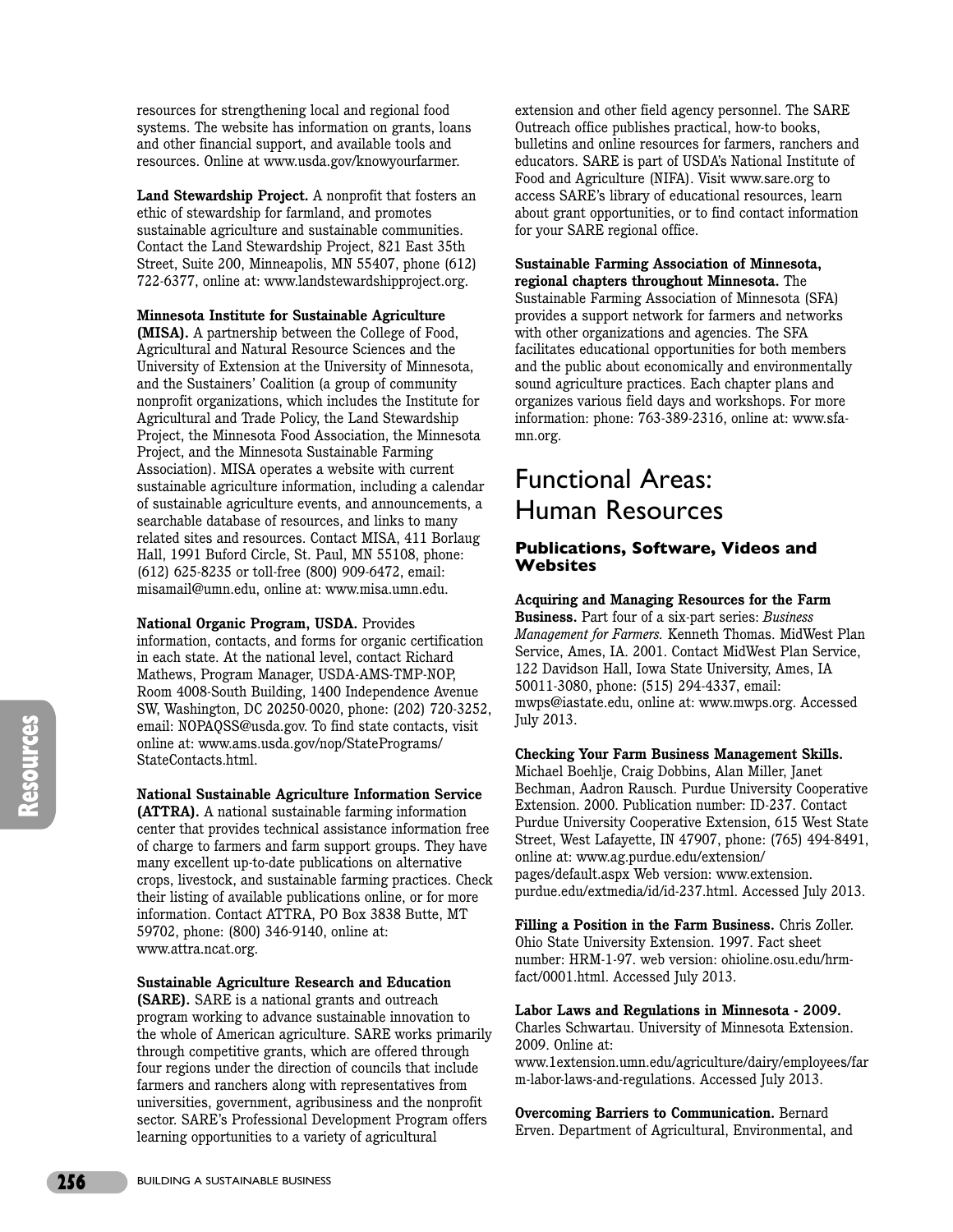resources for strengthening local and regional food systems. The website has information on grants, loans and other financial support, and available tools and resources. Online at www.usda.gov/knowyourfarmer.

**Land Stewardship Project.** A nonprofit that fosters an ethic of stewardship for farmland, and promotes sustainable agriculture and sustainable communities. Contact the Land Stewardship Project, 821 East 35th Street, Suite 200, Minneapolis, MN 55407, phone (612) 722-6377, online at: www.landstewardshipproject.org.

**Minnesota Institute for Sustainable Agriculture (MISA).** A partnership between the College of Food, Agricultural and Natural Resource Sciences and the University of Extension at the University of Minnesota, and the Sustainers' Coalition (a group of community nonprofit organizations, which includes the Institute for Agricultural and Trade Policy, the Land Stewardship Project, the Minnesota Food Association, the Minnesota Project, and the Minnesota Sustainable Farming Association). MISA operates a website with current sustainable agriculture information, including a calendar of sustainable agriculture events, and announcements, a searchable database of resources, and links to many related sites and resources. Contact MISA, 411 Borlaug Hall, 1991 Buford Circle, St. Paul, MN 55108, phone: (612) 625-8235 or toll-free (800) 909-6472, email: misamail@umn.edu, online at: www.misa.umn.edu.

**National Organic Program, USDA.** Provides information, contacts, and forms for organic certification in each state. At the national level, contact Richard Mathews, Program Manager, USDA-AMS-TMP-NOP, Room 4008-South Building, 1400 Independence Avenue SW, Washington, DC 20250-0020, phone: (202) 720-3252, email: NOPAQSS@usda.gov. To find state contacts, visit online at: www.ams.usda.gov/nop/StatePrograms/ StateContacts.html.

**National Sustainable Agriculture Information Service**

**(ATTRA).** A national sustainable farming information center that provides technical assistance information free of charge to farmers and farm support groups. They have many excellent up-to-date publications on alternative crops, livestock, and sustainable farming practices. Check their listing of available publications online, or for more information. Contact ATTRA, PO Box 3838 Butte, MT 59702, phone: (800) 346-9140, online at: www.attra.ncat.org.

#### **Sustainable Agriculture Research and Education**

**(SARE).** SARE is a national grants and outreach program working to advance sustainable innovation to the whole of American agriculture. SARE works primarily through competitive grants, which are offered through four regions under the direction of councils that include farmers and ranchers along with representatives from universities, government, agribusiness and the nonprofit sector. SARE's Professional Development Program offers learning opportunities to a variety of agricultural

extension and other field agency personnel. The SARE Outreach office publishes practical, how-to books, bulletins and online resources for farmers, ranchers and educators. SARE is part of USDA's National Institute of Food and Agriculture (NIFA). Visit www.sare.org to access SARE's library of educational resources, learn about grant opportunities, or to find contact information for your SARE regional office.

#### **Sustainable Farming Association of Minnesota, regional chapters throughout Minnesota.** The

Sustainable Farming Association of Minnesota (SFA) provides a support network for farmers and networks with other organizations and agencies. The SFA facilitates educational opportunities for both members and the public about economically and environmentally sound agriculture practices. Each chapter plans and organizes various field days and workshops. For more information: phone: 763-389-2316, online at: www.sfamn.org.

# **Functional Areas:** Human Resources

#### **Publications, Software, Videos and Websites**

#### **Acquiring and Managing Resources for the Farm**

**Business.** Part four of a six-part series: *Business Management for Farmers.* Kenneth Thomas. MidWest Plan Service, Ames, IA. 2001. Contact MidWest Plan Service, 122 Davidson Hall, Iowa State University, Ames, IA 50011-3080, phone: (515) 294-4337, email: mwps@iastate.edu, online at: www.mwps.org. Accessed July 2013.

#### **Checking Your Farm Business Management Skills.**

Michael Boehlje, Craig Dobbins, Alan Miller, Janet Bechman, Aadron Rausch. Purdue University Cooperative Extension. 2000. Publication number: ID-237. Contact Purdue University Cooperative Extension, 615 West State Street, West Lafayette, IN 47907, phone: (765) 494-8491, online at: www.ag.purdue.edu/extension/ pages/default.aspx Web version: www.extension. purdue.edu/extmedia/id/id-237.html. Accessed July 2013.

**Filling a Position in the Farm Business.** Chris Zoller. Ohio State University Extension. 1997. Fact sheet number: HRM-1-97. web version: ohioline.osu.edu/hrmfact/0001.html. Accessed July 2013.

#### **Labor Laws and Regulations in Minnesota - 2009.**

Charles Schwartau. University of Minnesota Extension. 2009. Online at:

www.1extension.umn.edu/agriculture/dairy/employees/far m-labor-laws-and-regulations. Accessed July 2013.

**Overcoming Barriers to Communication.** Bernard Erven. Department of Agricultural, Environmental, and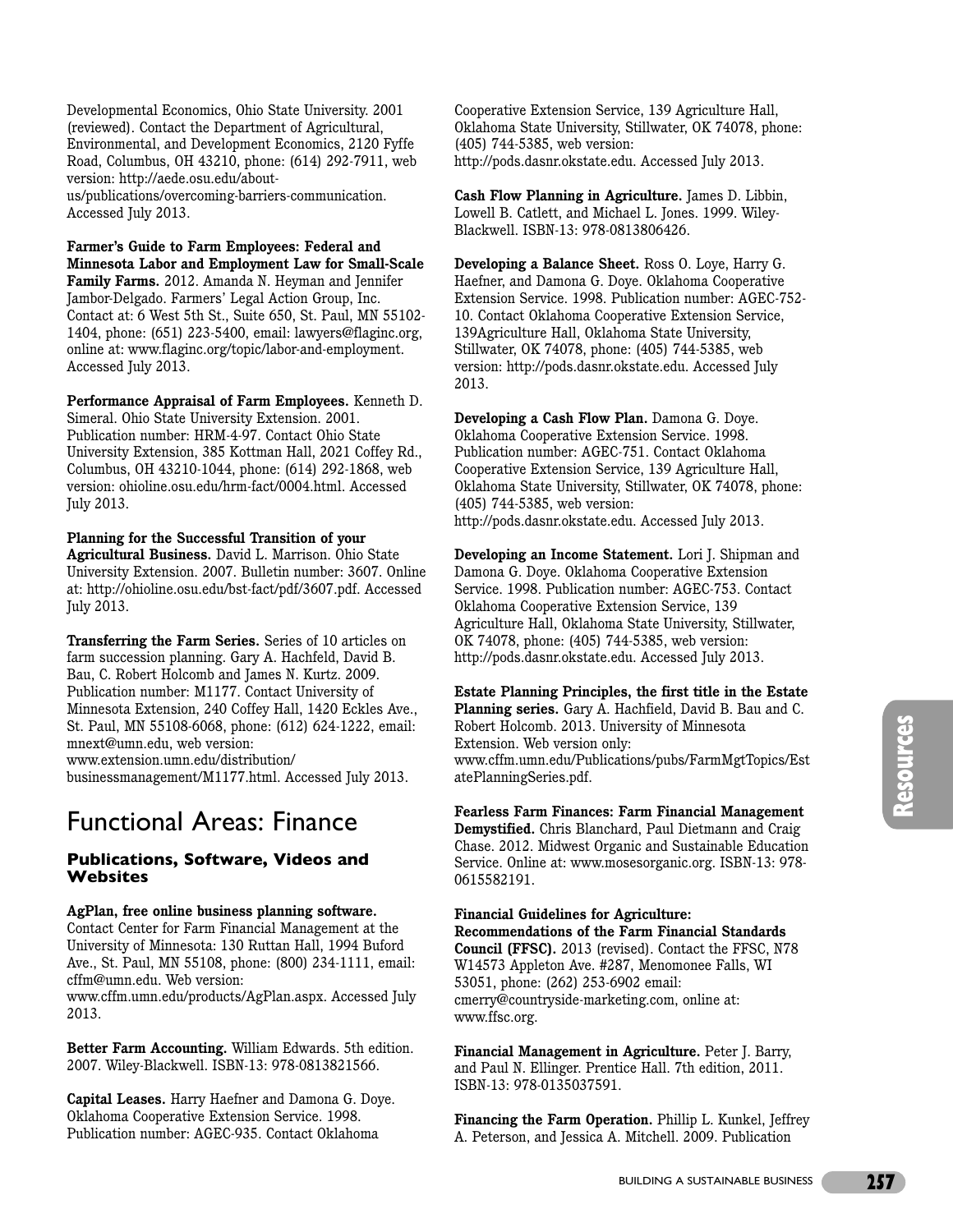Developmental Economics, Ohio State University. 2001 (reviewed). Contact the Department of Agricultural, Environmental, and Development Economics, 2120 Fyffe Road, Columbus, OH 43210, phone: (614) 292-7911, web version: http://aede.osu.edu/aboutus/publications/overcoming-barriers-communication. Accessed July 2013.

**Farmer's Guide to Farm Employees: Federal and Minnesota Labor and Employment Law for Small-Scale Family Farms.** 2012. Amanda N. Heyman and Jennifer Jambor-Delgado. Farmers' Legal Action Group, Inc. Contact at: 6 West 5th St., Suite 650, St. Paul, MN 55102- 1404, phone: (651) 223-5400, email: lawyers@flaginc.org, online at: www.flaginc.org/topic/labor-and-employment. Accessed July 2013.

**Performance Appraisal of Farm Employees.** Kenneth D. Simeral. Ohio State University Extension. 2001. Publication number: HRM-4-97. Contact Ohio State University Extension, 385 Kottman Hall, 2021 Coffey Rd., Columbus, OH 43210-1044, phone: (614) 292-1868, web version: ohioline.osu.edu/hrm-fact/0004.html. Accessed July 2013.

**Planning for the Successful Transition of your Agricultural Business.** David L. Marrison. Ohio State University Extension. 2007. Bulletin number: 3607. Online at: http://ohioline.osu.edu/bst-fact/pdf/3607.pdf. Accessed July 2013.

**Transferring the Farm Series.** Series of 10 articles on farm succession planning. Gary A. Hachfeld, David B. Bau, C. Robert Holcomb and James N. Kurtz. 2009. Publication number: M1177. Contact University of Minnesota Extension, 240 Coffey Hall, 1420 Eckles Ave., St. Paul, MN 55108-6068, phone: (612) 624-1222, email: mnext@umn.edu, web version: www.extension.umn.edu/distribution/ businessmanagement/M1177.html. Accessed July 2013.

# Functional Areas: Finance

#### **Publications, Software, Videos and Websites**

**AgPlan, free online business planning software.** Contact Center for Farm Financial Management at the University of Minnesota: 130 Ruttan Hall, 1994 Buford Ave., St. Paul, MN 55108, phone: (800) 234-1111, email: cffm@umn.edu. Web version:

www.cffm.umn.edu/products/AgPlan.aspx. Accessed July 2013.

**Better Farm Accounting.** William Edwards. 5th edition. 2007. Wiley-Blackwell. ISBN-13: 978-0813821566.

**Capital Leases.** Harry Haefner and Damona G. Doye. Oklahoma Cooperative Extension Service. 1998. Publication number: AGEC-935. Contact Oklahoma

Cooperative Extension Service, 139 Agriculture Hall, Oklahoma State University, Stillwater, OK 74078, phone: (405) 744-5385, web version: http://pods.dasnr.okstate.edu. Accessed July 2013.

**Cash Flow Planning in Agriculture.** James D. Libbin, Lowell B. Catlett, and Michael L. Jones. 1999. Wiley-Blackwell. ISBN-13: 978-0813806426.

**Developing a Balance Sheet.** Ross O. Loye, Harry G. Haefner, and Damona G. Doye. Oklahoma Cooperative Extension Service. 1998. Publication number: AGEC-752- 10. Contact Oklahoma Cooperative Extension Service, 139Agriculture Hall, Oklahoma State University, Stillwater, OK 74078, phone: (405) 744-5385, web version: http://pods.dasnr.okstate.edu. Accessed July 2013.

**Developing a Cash Flow Plan.** Damona G. Doye. Oklahoma Cooperative Extension Service. 1998. Publication number: AGEC-751. Contact Oklahoma Cooperative Extension Service, 139 Agriculture Hall, Oklahoma State University, Stillwater, OK 74078, phone: (405) 744-5385, web version: http://pods.dasnr.okstate.edu. Accessed July 2013.

**Developing an Income Statement.** Lori J. Shipman and Damona G. Doye. Oklahoma Cooperative Extension Service. 1998. Publication number: AGEC-753. Contact Oklahoma Cooperative Extension Service, 139 Agriculture Hall, Oklahoma State University, Stillwater, OK 74078, phone: (405) 744-5385, web version: http://pods.dasnr.okstate.edu. Accessed July 2013.

**Estate Planning Principles, the first title in the Estate Planning series.** Gary A. Hachfield, David B. Bau and C. Robert Holcomb. 2013. University of Minnesota Extension. Web version only: www.cffm.umn.edu/Publications/pubs/FarmMgtTopics/Est atePlanningSeries.pdf.

**Fearless Farm Finances: Farm Financial Management Demystified.** Chris Blanchard, Paul Dietmann and Craig Chase. 2012. Midwest Organic and Sustainable Education Service. Online at: www.mosesorganic.org. ISBN-13: 978- 0615582191.

**Financial Guidelines for Agriculture: Recommendations of the Farm Financial Standards Council (FFSC).** 2013 (revised). Contact the FFSC, N78 W14573 Appleton Ave. #287, Menomonee Falls, WI 53051, phone: (262) 253-6902 email: cmerry@countryside-marketing.com, online at: www.ffsc.org.

**Financial Management in Agriculture.** Peter J. Barry, and Paul N. Ellinger. Prentice Hall. 7th edition, 2011. ISBN-13: 978-0135037591.

**Financing the Farm Operation.** Phillip L. Kunkel, Jeffrey A. Peterson, and Jessica A. Mitchell. 2009. Publication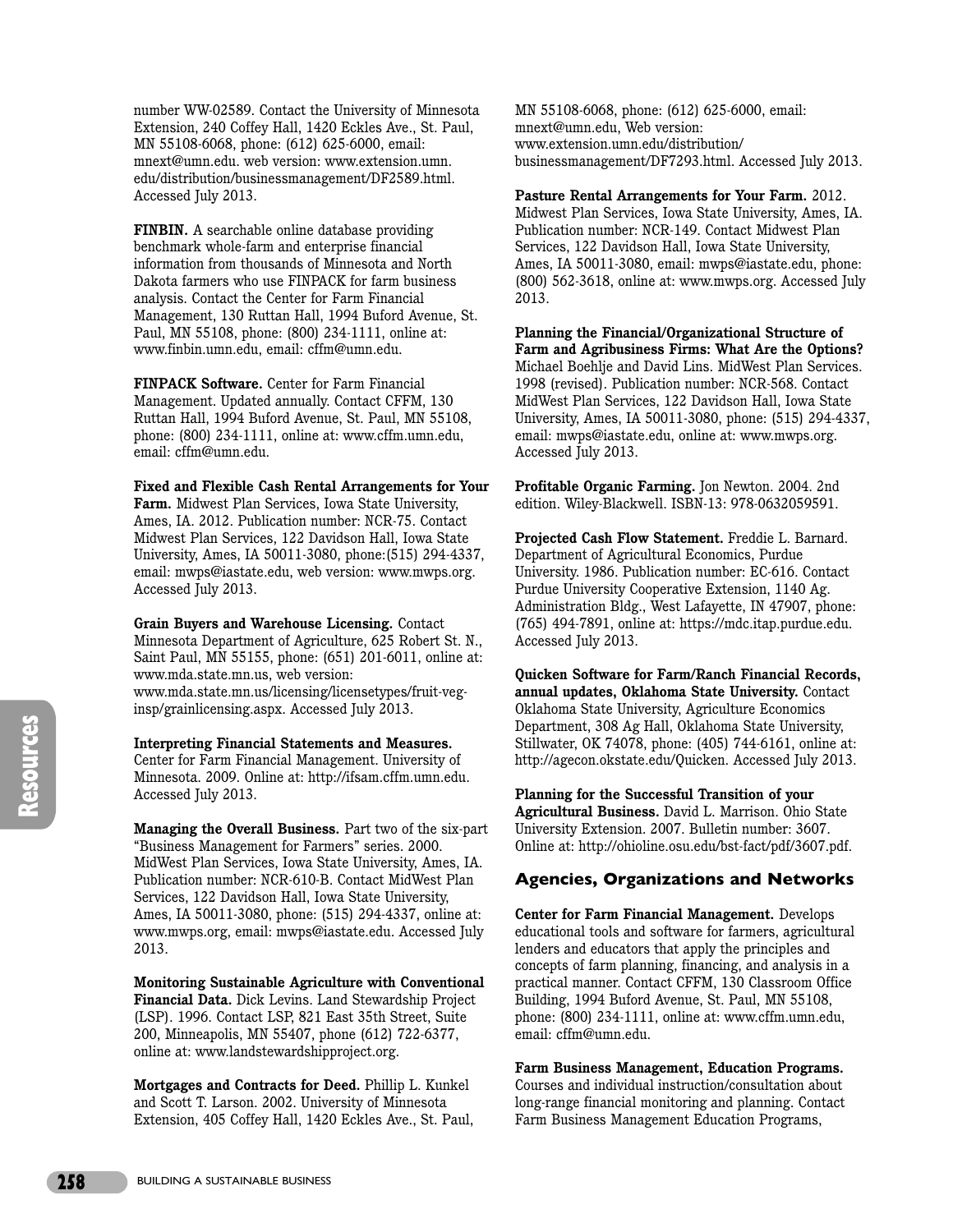number WW-02589. Contact the University of Minnesota Extension, 240 Coffey Hall, 1420 Eckles Ave., St. Paul, MN 55108-6068, phone: (612) 625-6000, email: mnext@umn.edu. web version: www.extension.umn. edu/distribution/businessmanagement/DF2589.html. Accessed July 2013.

**FINBIN.** A searchable online database providing benchmark whole-farm and enterprise financial information from thousands of Minnesota and North Dakota farmers who use FINPACK for farm business analysis. Contact the Center for Farm Financial Management, 130 Ruttan Hall, 1994 Buford Avenue, St. Paul, MN 55108, phone: (800) 234-1111, online at: www.finbin.umn.edu, email: cffm@umn.edu.

**FINPACK Software.** Center for Farm Financial Management. Updated annually. Contact CFFM, 130 Ruttan Hall, 1994 Buford Avenue, St. Paul, MN 55108, phone: (800) 234-1111, online at: www.cffm.umn.edu, email: cffm@umn.edu.

**Fixed and Flexible Cash Rental Arrangements for Your**

**Farm.** Midwest Plan Services, Iowa State University, Ames, IA. 2012. Publication number: NCR-75. Contact Midwest Plan Services, 122 Davidson Hall, Iowa State University, Ames, IA 50011-3080, phone:(515) 294-4337, email: mwps@iastate.edu, web version: www.mwps.org. Accessed July 2013.

**Grain Buyers and Warehouse Licensing.** Contact Minnesota Department of Agriculture, 625 Robert St. N., Saint Paul, MN 55155, phone: (651) 201-6011, online at: www.mda.state.mn.us, web version: www.mda.state.mn.us/licensing/licensetypes/fruit-veginsp/grainlicensing.aspx. Accessed July 2013.

**Interpreting Financial Statements and Measures.** Center for Farm Financial Management. University of Minnesota. 2009. Online at: http://ifsam.cffm.umn.edu. Accessed July 2013.

**Managing the Overall Business.** Part two of the six-part "Business Management for Farmers" series. 2000. MidWest Plan Services, Iowa State University, Ames, IA. Publication number: NCR-610-B. Contact MidWest Plan Services, 122 Davidson Hall, Iowa State University, Ames, IA 50011-3080, phone: (515) 294-4337, online at: www.mwps.org, email: mwps@iastate.edu. Accessed July 2013.

**Monitoring Sustainable Agriculture with Conventional Financial Data.** Dick Levins. Land Stewardship Project (LSP). 1996. Contact LSP, 821 East 35th Street, Suite 200, Minneapolis, MN 55407, phone (612) 722-6377, online at: www.landstewardshipproject.org.

**Mortgages and Contracts for Deed.** Phillip L. Kunkel and Scott T. Larson. 2002. University of Minnesota Extension, 405 Coffey Hall, 1420 Eckles Ave., St. Paul, MN 55108-6068, phone: (612) 625-6000, email: mnext@umn.edu, Web version: www.extension.umn.edu/distribution/ businessmanagement/DF7293.html. Accessed July 2013.

#### **Pasture Rental Arrangements for Your Farm.** 2012.

Midwest Plan Services, Iowa State University, Ames, IA. Publication number: NCR-149. Contact Midwest Plan Services, 122 Davidson Hall, Iowa State University, Ames, IA 50011-3080, email: mwps@iastate.edu, phone: (800) 562-3618, online at: www.mwps.org. Accessed July 2013.

**Planning the Financial/Organizational Structure of Farm and Agribusiness Firms: What Are the Options?** Michael Boehlje and David Lins. MidWest Plan Services. 1998 (revised). Publication number: NCR-568. Contact MidWest Plan Services, 122 Davidson Hall, Iowa State University, Ames, IA 50011-3080, phone: (515) 294-4337, email: mwps@iastate.edu, online at: www.mwps.org. Accessed July 2013.

**Profitable Organic Farming.** Jon Newton. 2004. 2nd edition. Wiley-Blackwell. ISBN-13: 978-0632059591.

**Projected Cash Flow Statement.** Freddie L. Barnard. Department of Agricultural Economics, Purdue University. 1986. Publication number: EC-616. Contact Purdue University Cooperative Extension, 1140 Ag. Administration Bldg., West Lafayette, IN 47907, phone: (765) 494-7891, online at: https://mdc.itap.purdue.edu. Accessed July 2013.

**Quicken Software for Farm/Ranch Financial Records, annual updates, Oklahoma State University.** Contact Oklahoma State University, Agriculture Economics Department, 308 Ag Hall, Oklahoma State University, Stillwater, OK 74078, phone: (405) 744-6161, online at: http://agecon.okstate.edu/Quicken. Accessed July 2013.

**Planning for the Successful Transition of your Agricultural Business.** David L. Marrison. Ohio State University Extension. 2007. Bulletin number: 3607. Online at: http://ohioline.osu.edu/bst-fact/pdf/3607.pdf.

#### **Agencies, Organizations and Networks**

**Center for Farm Financial Management.** Develops educational tools and software for farmers, agricultural lenders and educators that apply the principles and concepts of farm planning, financing, and analysis in a practical manner. Contact CFFM, 130 Classroom Office Building, 1994 Buford Avenue, St. Paul, MN 55108, phone: (800) 234-1111, online at: www.cffm.umn.edu, email: cffm@umn.edu.

**Farm Business Management, Education Programs.** Courses and individual instruction/consultation about long-range financial monitoring and planning. Contact Farm Business Management Education Programs,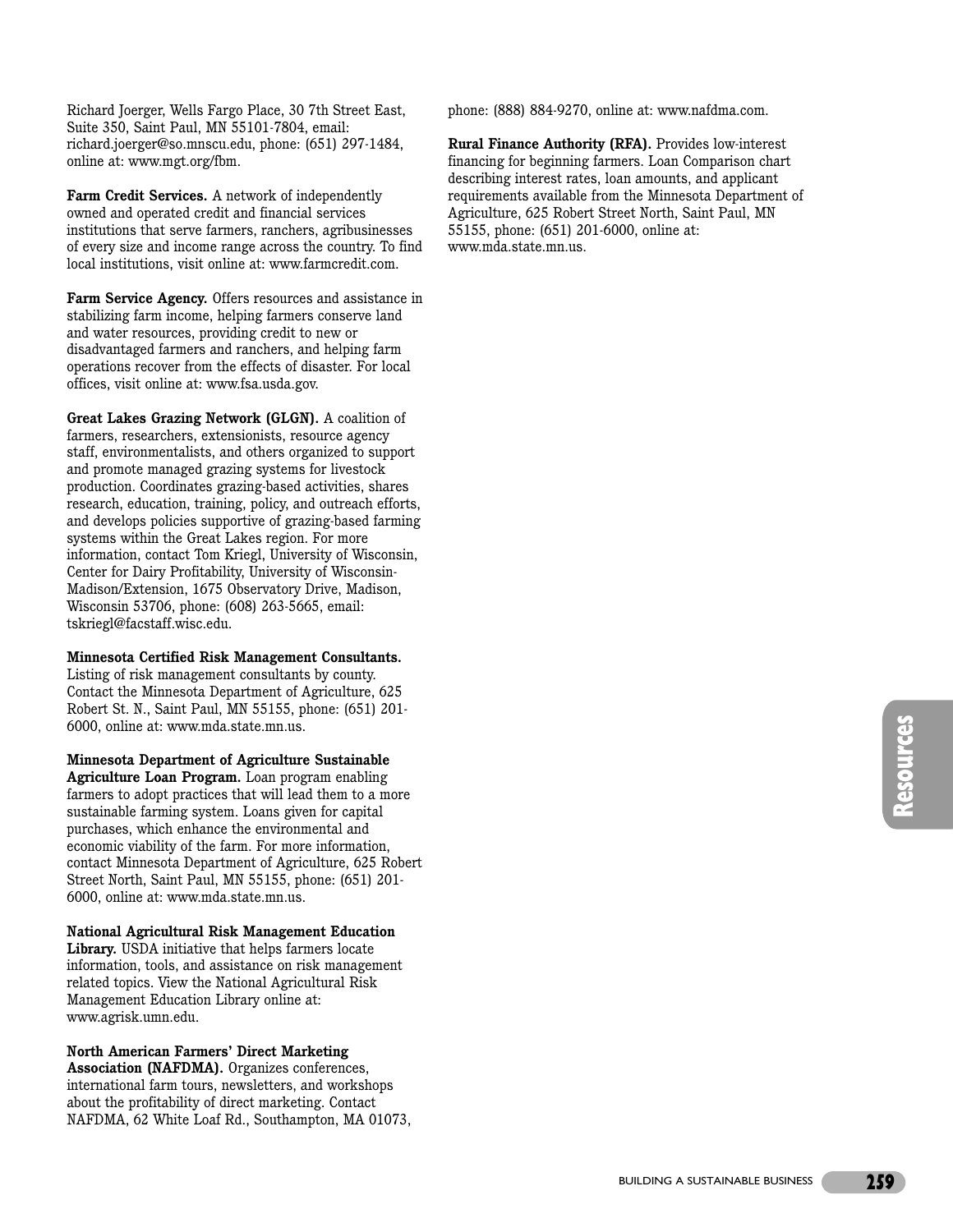Richard Joerger, Wells Fargo Place, 30 7th Street East, Suite 350, Saint Paul, MN 55101-7804, email: richard.joerger@so.mnscu.edu, phone: (651) 297-1484, online at: www.mgt.org/fbm.

**Farm Credit Services.** A network of independently owned and operated credit and financial services institutions that serve farmers, ranchers, agribusinesses of every size and income range across the country. To find local institutions, visit online at: www.farmcredit.com.

**Farm Service Agency.** Offers resources and assistance in stabilizing farm income, helping farmers conserve land and water resources, providing credit to new or disadvantaged farmers and ranchers, and helping farm operations recover from the effects of disaster. For local offices, visit online at: www.fsa.usda.gov.

**Great Lakes Grazing Network (GLGN).** A coalition of farmers, researchers, extensionists, resource agency staff, environmentalists, and others organized to support and promote managed grazing systems for livestock production. Coordinates grazing-based activities, shares research, education, training, policy, and outreach efforts, and develops policies supportive of grazing-based farming systems within the Great Lakes region. For more information, contact Tom Kriegl, University of Wisconsin, Center for Dairy Profitability, University of Wisconsin-Madison/Extension, 1675 Observatory Drive, Madison, Wisconsin 53706, phone: (608) 263-5665, email: tskriegl@facstaff.wisc.edu.

**Minnesota Certified Risk Management Consultants.** Listing of risk management consultants by county. Contact the Minnesota Department of Agriculture, 625 Robert St. N., Saint Paul, MN 55155, phone: (651) 201- 6000, online at: www.mda.state.mn.us.

**Minnesota Department of Agriculture Sustainable Agriculture Loan Program.** Loan program enabling farmers to adopt practices that will lead them to a more sustainable farming system. Loans given for capital purchases, which enhance the environmental and economic viability of the farm. For more information, contact Minnesota Department of Agriculture, 625 Robert Street North, Saint Paul, MN 55155, phone: (651) 201- 6000, online at: www.mda.state.mn.us.

#### **National Agricultural Risk Management Education**

**Library.** USDA initiative that helps farmers locate information, tools, and assistance on risk management related topics. View the National Agricultural Risk Management Education Library online at: www.agrisk.umn.edu.

#### **North American Farmers' Direct Marketing**

**Association (NAFDMA).** Organizes conferences, international farm tours, newsletters, and workshops about the profitability of direct marketing. Contact NAFDMA, 62 White Loaf Rd., Southampton, MA 01073, phone: (888) 884-9270, online at: www.nafdma.com.

**Rural Finance Authority (RFA).** Provides low-interest financing for beginning farmers. Loan Comparison chart describing interest rates, loan amounts, and applicant requirements available from the Minnesota Department of Agriculture, 625 Robert Street North, Saint Paul, MN 55155, phone: (651) 201-6000, online at: www.mda.state.mn.us.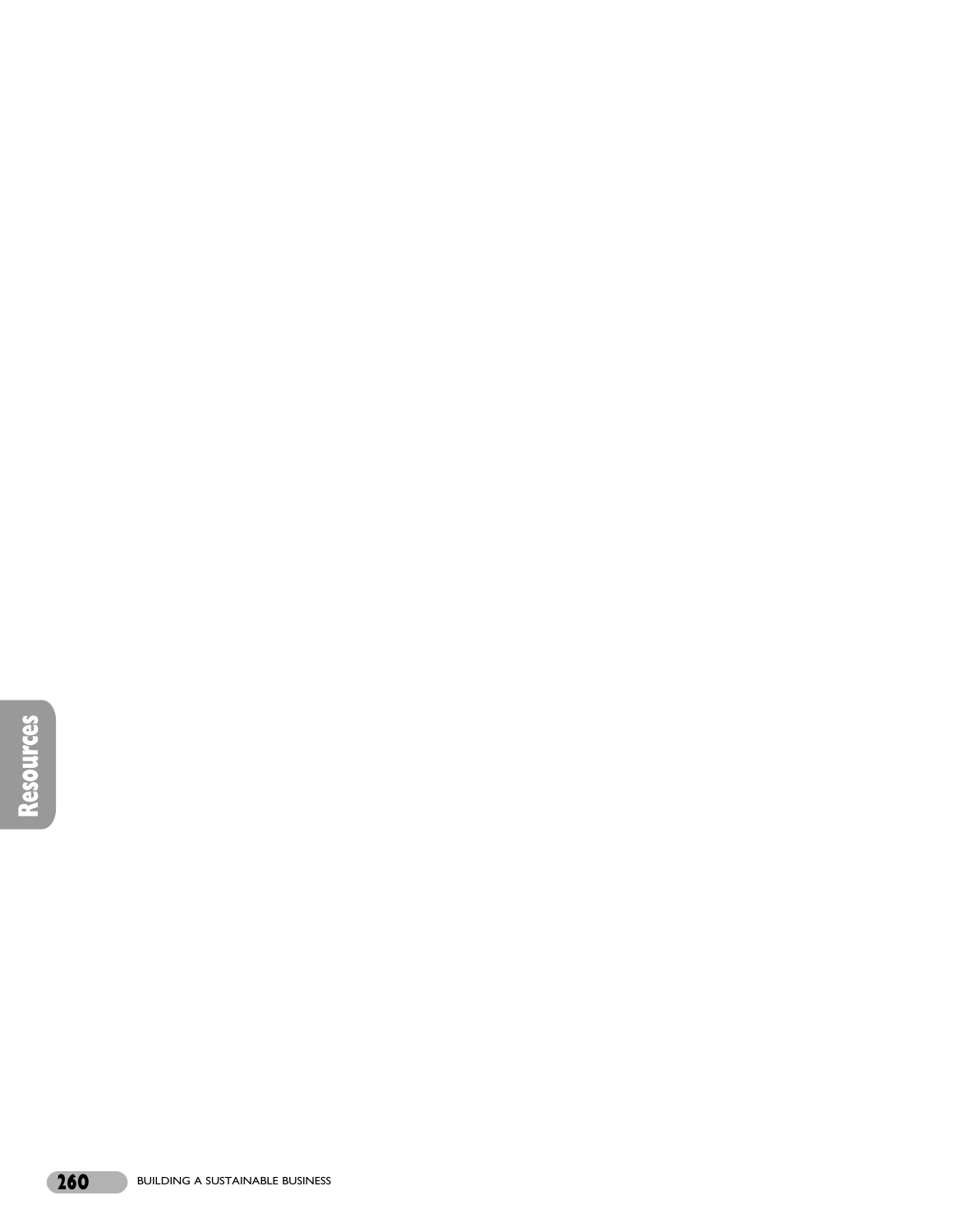**Re s o u rc e s**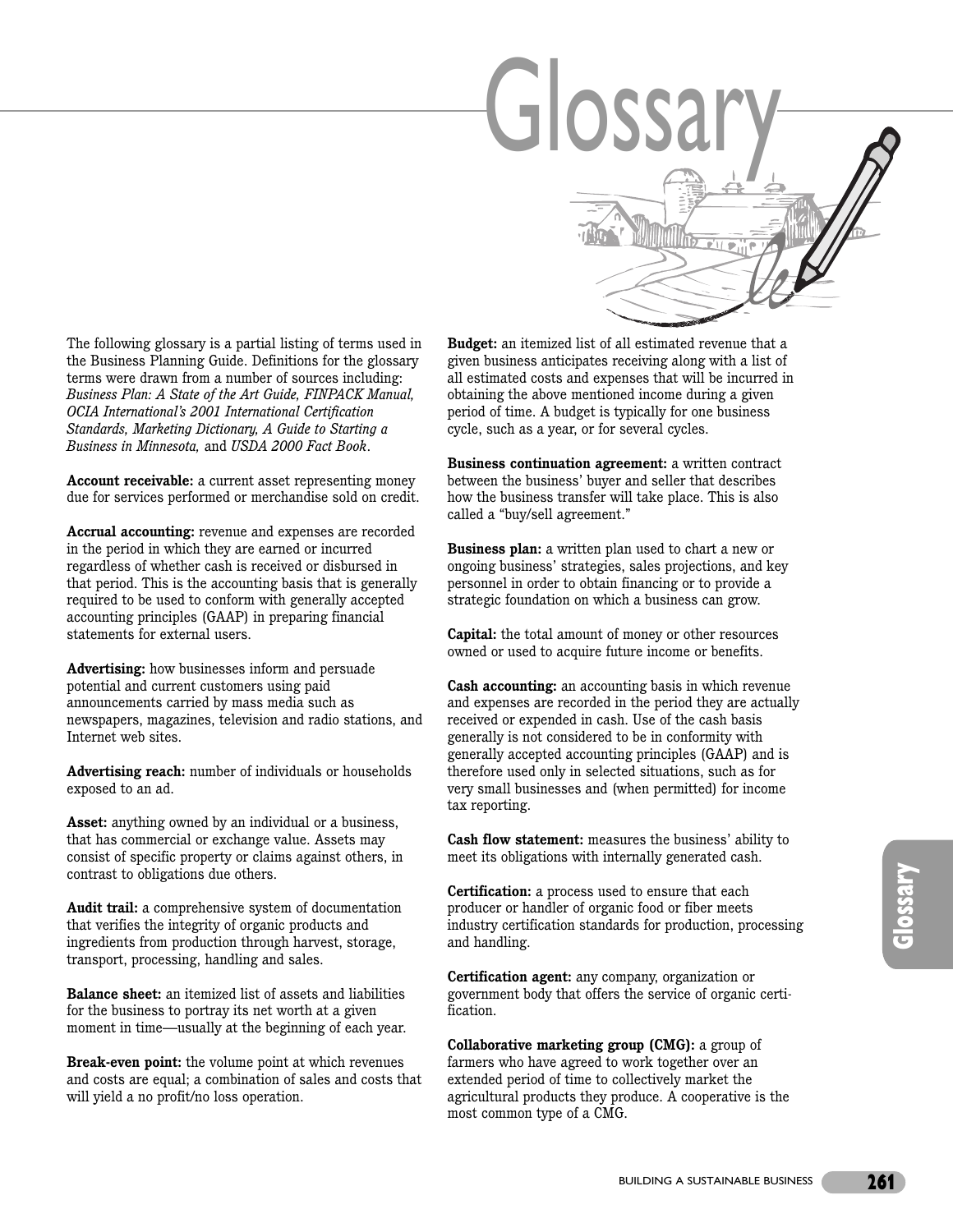

The following glossary is a partial listing of terms used in the Business Planning Guide. Definitions for the glossary terms were drawn from a number of sources including: *Business Plan: A State of the Art Guide, FINPACK Manual, OCIA International's 2001 International Certification Standards, Marketing Dictionary, A Guide to Starting a Business in Minnesota,* and *USDA 2000 Fact Book*.

**Account receivable:** a current asset representing money due for services performed or merchandise sold on credit.

**Accrual accounting:** revenue and expenses are recorded in the period in which they are earned or incurred regardless of whether cash is received or disbursed in that period. This is the accounting basis that is generally required to be used to conform with generally accepted accounting principles (GAAP) in preparing financial statements for external users.

**Advertising:** how businesses inform and persuade potential and current customers using paid announcements carried by mass media such as newspapers, magazines, television and radio stations, and Internet web sites.

**Advertising reach:** number of individuals or households exposed to an ad.

**Asset:** anything owned by an individual or a business, that has commercial or exchange value. Assets may consist of specific property or claims against others, in contrast to obligations due others.

**Audit trail:** a comprehensive system of documentation that verifies the integrity of organic products and ingredients from production through harvest, storage, transport, processing, handling and sales.

**Balance sheet:** an itemized list of assets and liabilities for the business to portray its net worth at a given moment in time—usually at the beginning of each year.

**Break-even point:** the volume point at which revenues and costs are equal; a combination of sales and costs that will yield a no profit/no loss operation.

**Budget:** an itemized list of all estimated revenue that a given business anticipates receiving along with a list of all estimated costs and expenses that will be incurred in obtaining the above mentioned income during a given period of time. A budget is typically for one business cycle, such as a year, or for several cycles.

**Business continuation agreement:** a written contract between the business' buyer and seller that describes how the business transfer will take place. This is also called a "buy/sell agreement."

**Business plan:** a written plan used to chart a new or ongoing business' strategies, sales projections, and key personnel in order to obtain financing or to provide a strategic foundation on which a business can grow.

**Capital:** the total amount of money or other resources owned or used to acquire future income or benefits.

**Cash accounting:** an accounting basis in which revenue and expenses are recorded in the period they are actually received or expended in cash. Use of the cash basis generally is not considered to be in conformity with generally accepted accounting principles (GAAP) and is therefore used only in selected situations, such as for very small businesses and (when permitted) for income tax reporting.

**Cash flow statement:** measures the business' ability to meet its obligations with internally generated cash.

**Certification:** a process used to ensure that each producer or handler of organic food or fiber meets industry certification standards for production, processing and handling.

**Certification agent:** any company, organization or government body that offers the service of organic certification.

**Collaborative marketing group (CMG):** a group of farmers who have agreed to work together over an extended period of time to collectively market the agricultural products they produce. A cooperative is the most common type of a CMG.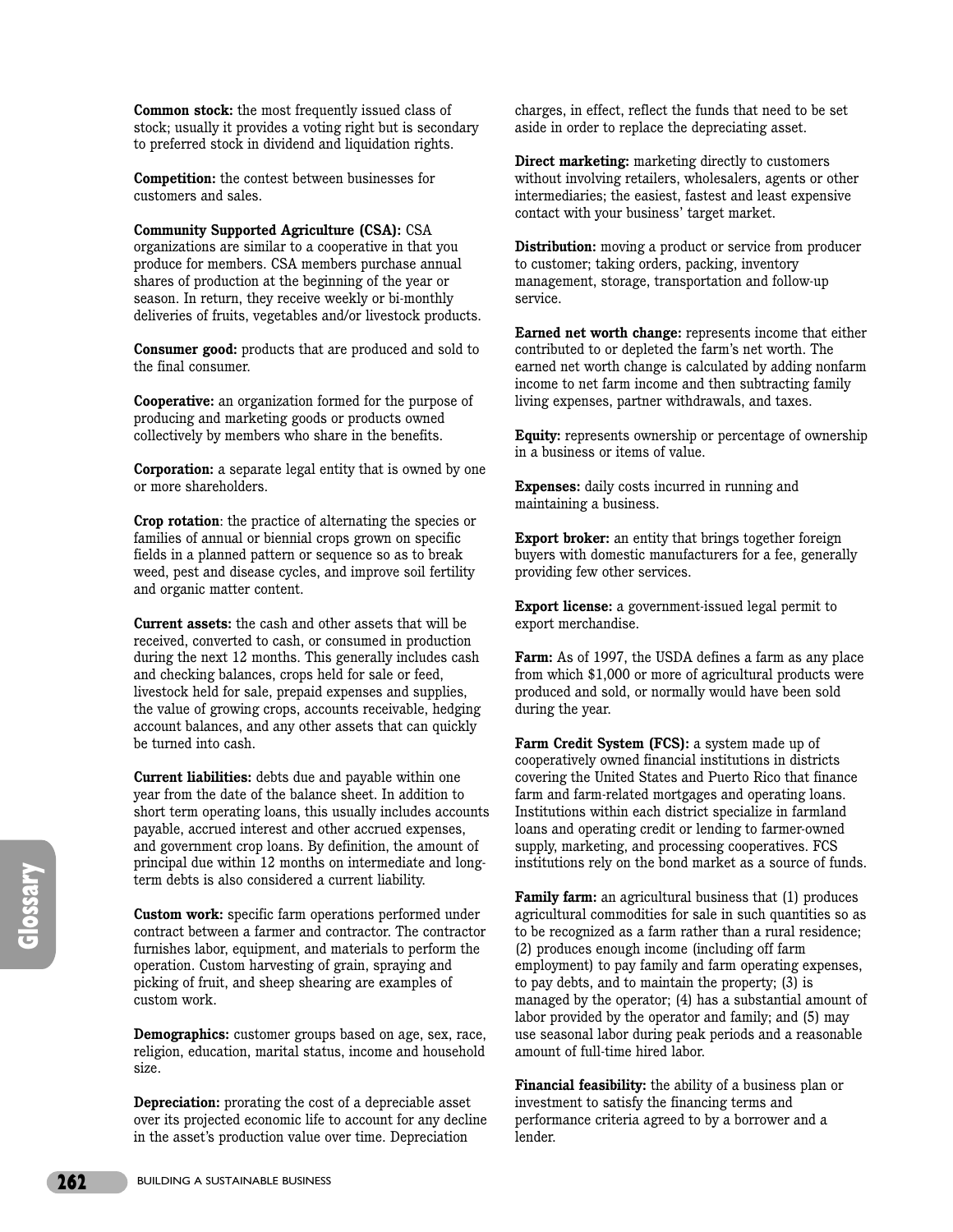**Common stock:** the most frequently issued class of stock; usually it provides a voting right but is secondary to preferred stock in dividend and liquidation rights.

**Competition:** the contest between businesses for customers and sales.

**Community Supported Agriculture (CSA):** CSA organizations are similar to a cooperative in that you produce for members. CSA members purchase annual shares of production at the beginning of the year or season. In return, they receive weekly or bi-monthly deliveries of fruits, vegetables and/or livestock products.

**Consumer good:** products that are produced and sold to the final consumer.

**Cooperative:** an organization formed for the purpose of producing and marketing goods or products owned collectively by members who share in the benefits.

**Corporation:** a separate legal entity that is owned by one or more shareholders.

**Crop rotation**: the practice of alternating the species or families of annual or biennial crops grown on specific fields in a planned pattern or sequence so as to break weed, pest and disease cycles, and improve soil fertility and organic matter content.

**Current assets:** the cash and other assets that will be received, converted to cash, or consumed in production during the next 12 months. This generally includes cash and checking balances, crops held for sale or feed, livestock held for sale, prepaid expenses and supplies, the value of growing crops, accounts receivable, hedging account balances, and any other assets that can quickly be turned into cash.

**Current liabilities:** debts due and payable within one year from the date of the balance sheet. In addition to short term operating loans, this usually includes accounts payable, accrued interest and other accrued expenses, and government crop loans. By definition, the amount of principal due within 12 months on intermediate and longterm debts is also considered a current liability.

**Custom work:** specific farm operations performed under contract between a farmer and contractor. The contractor furnishes labor, equipment, and materials to perform the operation. Custom harvesting of grain, spraying and picking of fruit, and sheep shearing are examples of custom work.

**Demographics:** customer groups based on age, sex, race, religion, education, marital status, income and household size.

**Depreciation:** prorating the cost of a depreciable asset over its projected economic life to account for any decline in the asset's production value over time. Depreciation

charges, in effect, reflect the funds that need to be set aside in order to replace the depreciating asset.

**Direct marketing:** marketing directly to customers without involving retailers, wholesalers, agents or other intermediaries; the easiest, fastest and least expensive contact with your business' target market.

**Distribution:** moving a product or service from producer to customer; taking orders, packing, inventory management, storage, transportation and follow-up service.

**Earned net worth change:** represents income that either contributed to or depleted the farm's net worth. The earned net worth change is calculated by adding nonfarm income to net farm income and then subtracting family living expenses, partner withdrawals, and taxes.

**Equity:** represents ownership or percentage of ownership in a business or items of value.

**Expenses:** daily costs incurred in running and maintaining a business.

**Export broker:** an entity that brings together foreign buyers with domestic manufacturers for a fee, generally providing few other services.

**Export license:** a government-issued legal permit to export merchandise.

**Farm:** As of 1997, the USDA defines a farm as any place from which \$1,000 or more of agricultural products were produced and sold, or normally would have been sold during the year.

**Farm Credit System (FCS):** a system made up of cooperatively owned financial institutions in districts covering the United States and Puerto Rico that finance farm and farm-related mortgages and operating loans. Institutions within each district specialize in farmland loans and operating credit or lending to farmer-owned supply, marketing, and processing cooperatives. FCS institutions rely on the bond market as a source of funds.

**Family farm:** an agricultural business that (1) produces agricultural commodities for sale in such quantities so as to be recognized as a farm rather than a rural residence; (2) produces enough income (including off farm employment) to pay family and farm operating expenses, to pay debts, and to maintain the property; (3) is managed by the operator; (4) has a substantial amount of labor provided by the operator and family; and (5) may use seasonal labor during peak periods and a reasonable amount of full-time hired labor.

**Financial feasibility:** the ability of a business plan or investment to satisfy the financing terms and performance criteria agreed to by a borrower and a lender.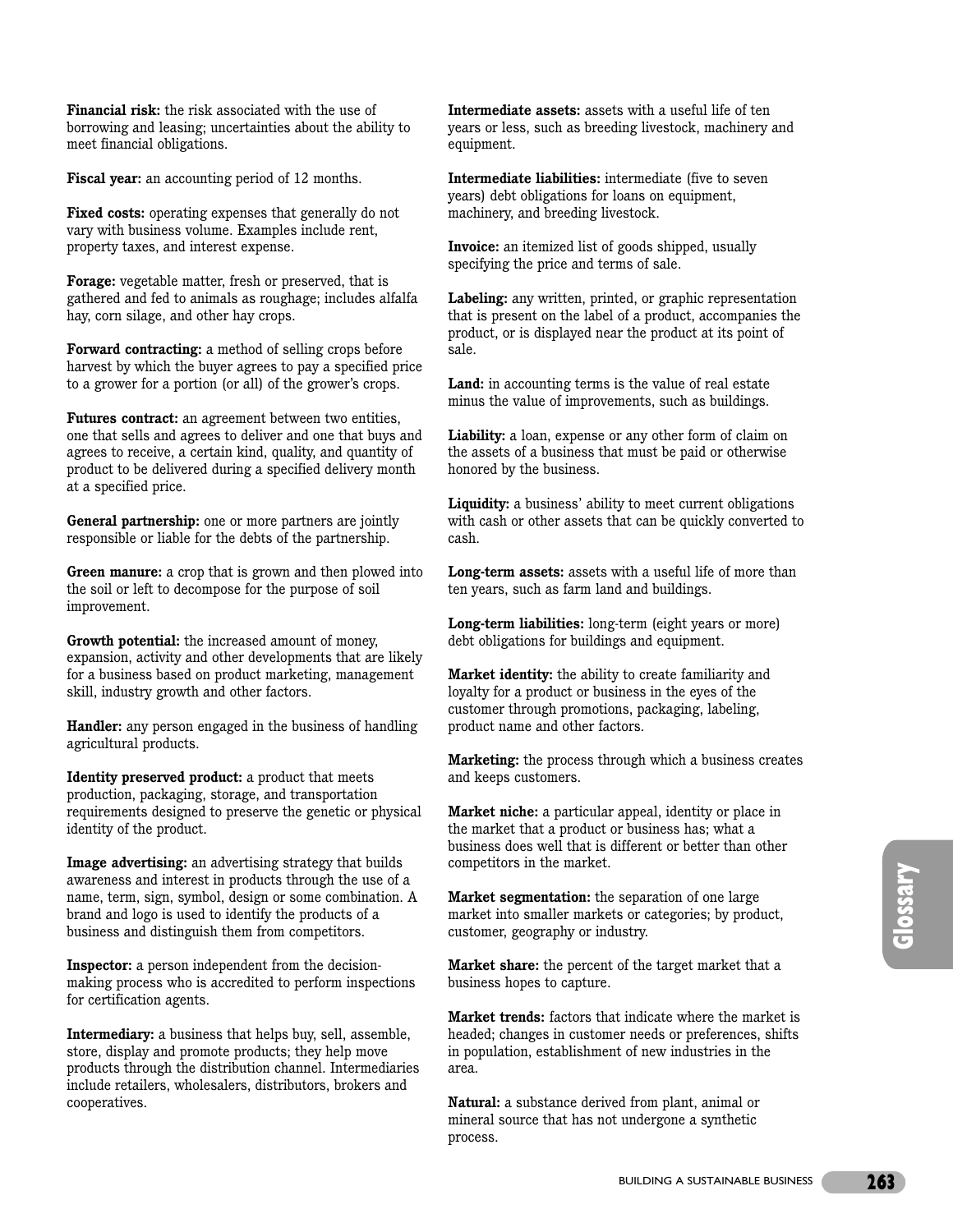**Fiscal year:** an accounting period of 12 months.

**Fixed costs:** operating expenses that generally do not vary with business volume. Examples include rent, property taxes, and interest expense.

**Forage:** vegetable matter, fresh or preserved, that is gathered and fed to animals as roughage; includes alfalfa hay, corn silage, and other hay crops.

**Forward contracting:** a method of selling crops before harvest by which the buyer agrees to pay a specified price to a grower for a portion (or all) of the grower's crops.

**Futures contract:** an agreement between two entities, one that sells and agrees to deliver and one that buys and agrees to receive, a certain kind, quality, and quantity of product to be delivered during a specified delivery month at a specified price.

**General partnership:** one or more partners are jointly responsible or liable for the debts of the partnership.

**Green manure:** a crop that is grown and then plowed into the soil or left to decompose for the purpose of soil improvement.

**Growth potential:** the increased amount of money, expansion, activity and other developments that are likely for a business based on product marketing, management skill, industry growth and other factors.

**Handler:** any person engaged in the business of handling agricultural products.

**Identity preserved product:** a product that meets production, packaging, storage, and transportation requirements designed to preserve the genetic or physical identity of the product.

**Image advertising:** an advertising strategy that builds awareness and interest in products through the use of a name, term, sign, symbol, design or some combination. A brand and logo is used to identify the products of a business and distinguish them from competitors.

**Inspector:** a person independent from the decisionmaking process who is accredited to perform inspections for certification agents.

**Intermediary:** a business that helps buy, sell, assemble, store, display and promote products; they help move products through the distribution channel. Intermediaries include retailers, wholesalers, distributors, brokers and cooperatives.

**Intermediate assets:** assets with a useful life of ten years or less, such as breeding livestock, machinery and equipment.

**Intermediate liabilities:** intermediate (five to seven years) debt obligations for loans on equipment, machinery, and breeding livestock.

**Invoice:** an itemized list of goods shipped, usually specifying the price and terms of sale.

**Labeling:** any written, printed, or graphic representation that is present on the label of a product, accompanies the product, or is displayed near the product at its point of sale.

**Land:** in accounting terms is the value of real estate minus the value of improvements, such as buildings.

**Liability:** a loan, expense or any other form of claim on the assets of a business that must be paid or otherwise honored by the business.

**Liquidity:** a business' ability to meet current obligations with cash or other assets that can be quickly converted to cash.

**Long-term assets:** assets with a useful life of more than ten years, such as farm land and buildings.

**Long-term liabilities:** long-term (eight years or more) debt obligations for buildings and equipment.

**Market identity:** the ability to create familiarity and loyalty for a product or business in the eyes of the customer through promotions, packaging, labeling, product name and other factors.

**Marketing:** the process through which a business creates and keeps customers.

**Market niche:** a particular appeal, identity or place in the market that a product or business has; what a business does well that is different or better than other competitors in the market.

**Market segmentation:** the separation of one large market into smaller markets or categories; by product, customer, geography or industry.

**Market share:** the percent of the target market that a business hopes to capture.

**Market trends:** factors that indicate where the market is headed; changes in customer needs or preferences, shifts in population, establishment of new industries in the area.

**Natural:** a substance derived from plant, animal or mineral source that has not undergone a synthetic process.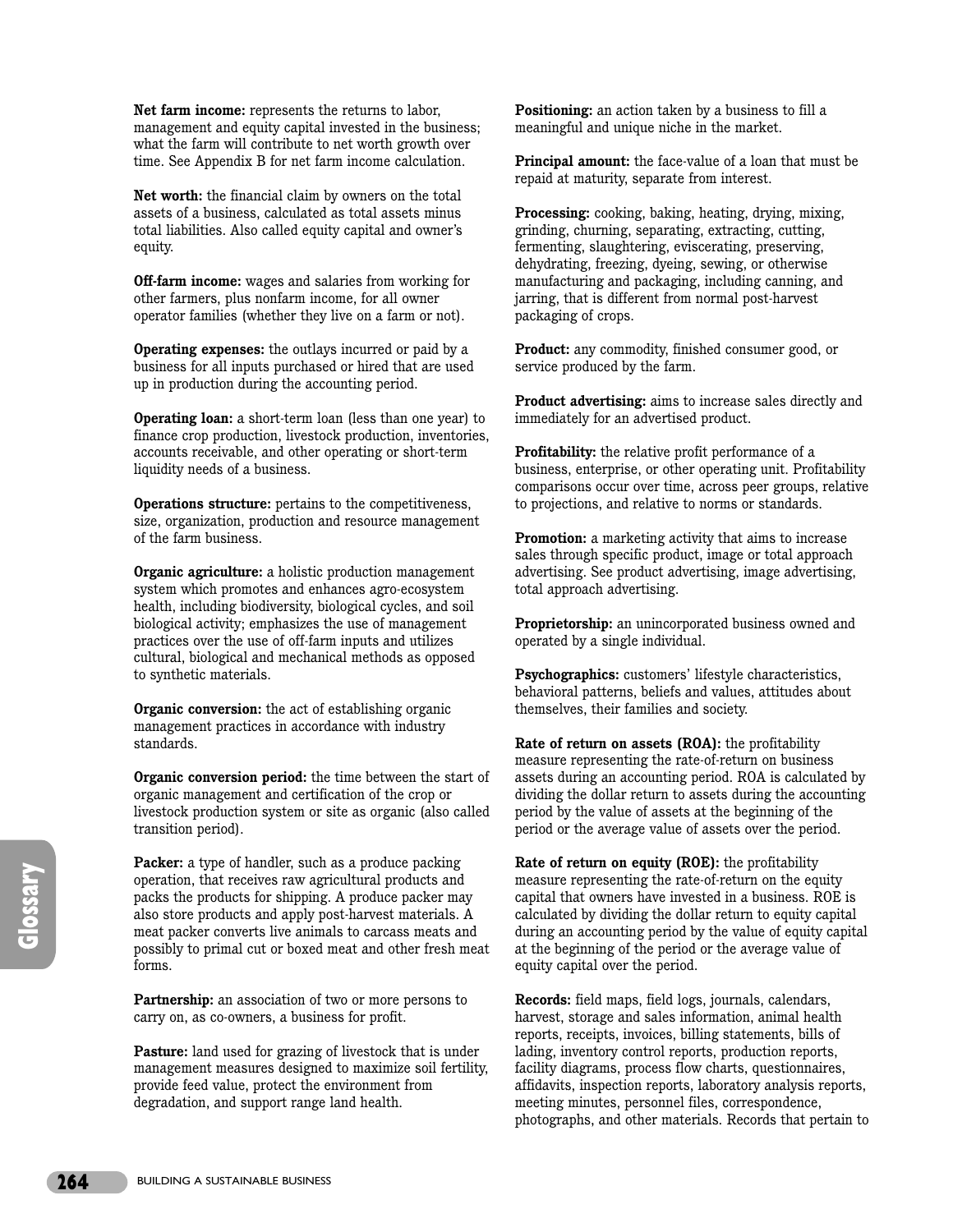**Net farm income:** represents the returns to labor, management and equity capital invested in the business; what the farm will contribute to net worth growth over time. See Appendix B for net farm income calculation.

**Net worth:** the financial claim by owners on the total assets of a business, calculated as total assets minus total liabilities. Also called equity capital and owner's equity.

**Off-farm income:** wages and salaries from working for other farmers, plus nonfarm income, for all owner operator families (whether they live on a farm or not).

**Operating expenses:** the outlays incurred or paid by a business for all inputs purchased or hired that are used up in production during the accounting period.

**Operating loan:** a short-term loan (less than one year) to finance crop production, livestock production, inventories, accounts receivable, and other operating or short-term liquidity needs of a business.

**Operations structure:** pertains to the competitiveness, size, organization, production and resource management of the farm business.

**Organic agriculture:** a holistic production management system which promotes and enhances agro-ecosystem health, including biodiversity, biological cycles, and soil biological activity; emphasizes the use of management practices over the use of off-farm inputs and utilizes cultural, biological and mechanical methods as opposed to synthetic materials.

**Organic conversion:** the act of establishing organic management practices in accordance with industry standards.

**Organic conversion period:** the time between the start of organic management and certification of the crop or livestock production system or site as organic (also called transition period).

**Packer:** a type of handler, such as a produce packing operation, that receives raw agricultural products and packs the products for shipping. A produce packer may also store products and apply post-harvest materials. A meat packer converts live animals to carcass meats and possibly to primal cut or boxed meat and other fresh meat forms.

**Partnership:** an association of two or more persons to carry on, as co-owners, a business for profit.

**Pasture:** land used for grazing of livestock that is under management measures designed to maximize soil fertility, provide feed value, protect the environment from degradation, and support range land health.

**Positioning:** an action taken by a business to fill a meaningful and unique niche in the market.

**Principal amount:** the face-value of a loan that must be repaid at maturity, separate from interest.

**Processing:** cooking, baking, heating, drying, mixing, grinding, churning, separating, extracting, cutting, fermenting, slaughtering, eviscerating, preserving, dehydrating, freezing, dyeing, sewing, or otherwise manufacturing and packaging, including canning, and jarring, that is different from normal post-harvest packaging of crops.

**Product:** any commodity, finished consumer good, or service produced by the farm.

**Product advertising:** aims to increase sales directly and immediately for an advertised product.

**Profitability:** the relative profit performance of a business, enterprise, or other operating unit. Profitability comparisons occur over time, across peer groups, relative to projections, and relative to norms or standards.

**Promotion:** a marketing activity that aims to increase sales through specific product, image or total approach advertising. See product advertising, image advertising, total approach advertising.

**Proprietorship:** an unincorporated business owned and operated by a single individual.

**Psychographics:** customers' lifestyle characteristics, behavioral patterns, beliefs and values, attitudes about themselves, their families and society.

**Rate of return on assets (ROA):** the profitability measure representing the rate-of-return on business assets during an accounting period. ROA is calculated by dividing the dollar return to assets during the accounting period by the value of assets at the beginning of the period or the average value of assets over the period.

**Rate of return on equity (ROE):** the profitability measure representing the rate-of-return on the equity capital that owners have invested in a business. ROE is calculated by dividing the dollar return to equity capital during an accounting period by the value of equity capital at the beginning of the period or the average value of equity capital over the period.

**Records:** field maps, field logs, journals, calendars, harvest, storage and sales information, animal health reports, receipts, invoices, billing statements, bills of lading, inventory control reports, production reports, facility diagrams, process flow charts, questionnaires, affidavits, inspection reports, laboratory analysis reports, meeting minutes, personnel files, correspondence, photographs, and other materials. Records that pertain to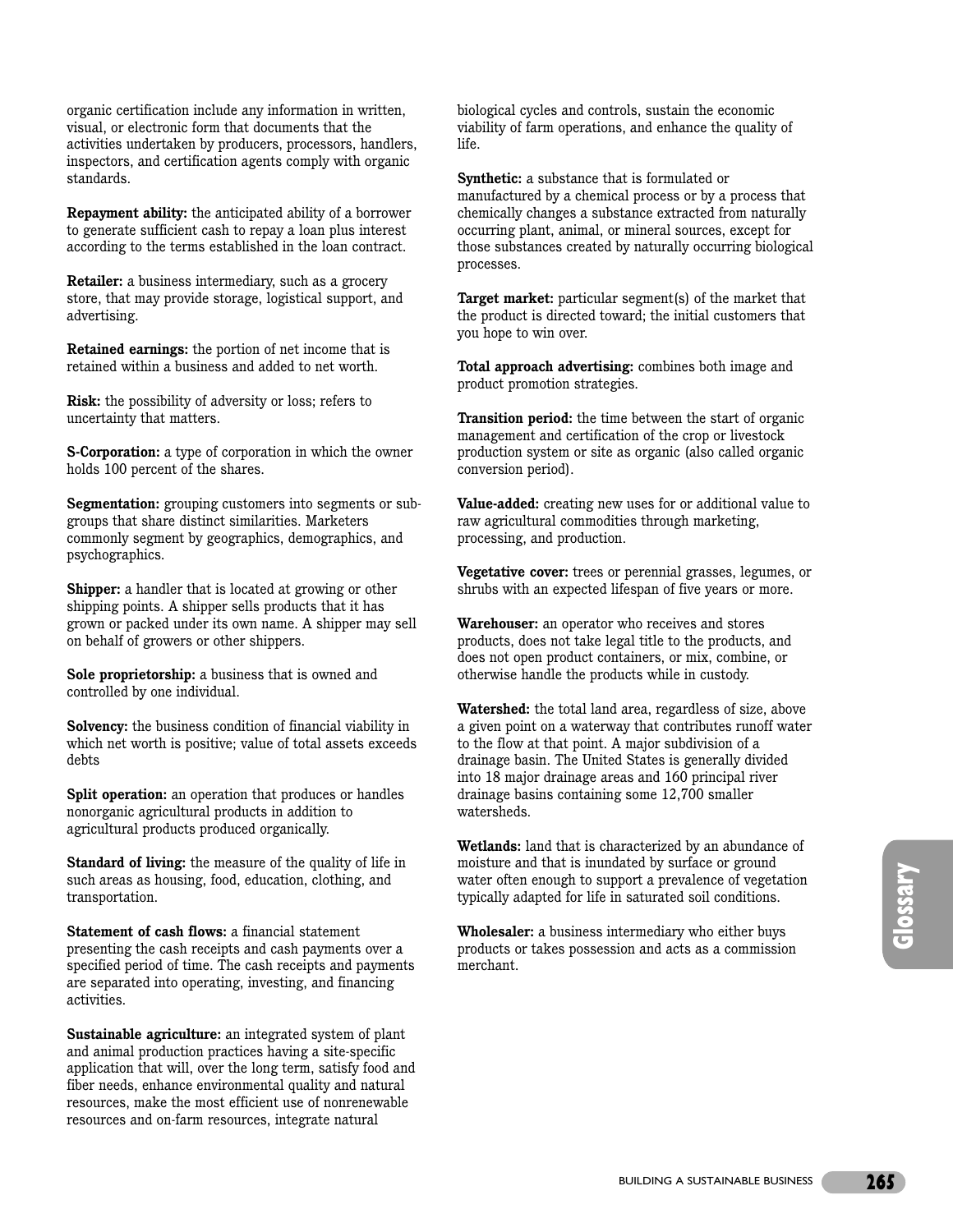organic certification include any information in written, visual, or electronic form that documents that the activities undertaken by producers, processors, handlers, inspectors, and certification agents comply with organic standards.

**Repayment ability:** the anticipated ability of a borrower to generate sufficient cash to repay a loan plus interest according to the terms established in the loan contract.

**Retailer:** a business intermediary, such as a grocery store, that may provide storage, logistical support, and advertising.

**Retained earnings:** the portion of net income that is retained within a business and added to net worth.

**Risk:** the possibility of adversity or loss; refers to uncertainty that matters.

**S-Corporation:** a type of corporation in which the owner holds 100 percent of the shares.

**Segmentation:** grouping customers into segments or subgroups that share distinct similarities. Marketers commonly segment by geographics, demographics, and psychographics.

**Shipper:** a handler that is located at growing or other shipping points. A shipper sells products that it has grown or packed under its own name. A shipper may sell on behalf of growers or other shippers.

**Sole proprietorship:** a business that is owned and controlled by one individual.

**Solvency:** the business condition of financial viability in which net worth is positive; value of total assets exceeds debts

**Split operation:** an operation that produces or handles nonorganic agricultural products in addition to agricultural products produced organically.

**Standard of living:** the measure of the quality of life in such areas as housing, food, education, clothing, and transportation.

**Statement of cash flows:** a financial statement presenting the cash receipts and cash payments over a specified period of time. The cash receipts and payments are separated into operating, investing, and financing activities.

**Sustainable agriculture:** an integrated system of plant and animal production practices having a site-specific application that will, over the long term, satisfy food and fiber needs, enhance environmental quality and natural resources, make the most efficient use of nonrenewable resources and on-farm resources, integrate natural

biological cycles and controls, sustain the economic viability of farm operations, and enhance the quality of life.

**Synthetic:** a substance that is formulated or manufactured by a chemical process or by a process that chemically changes a substance extracted from naturally occurring plant, animal, or mineral sources, except for those substances created by naturally occurring biological processes.

**Target market:** particular segment(s) of the market that the product is directed toward; the initial customers that you hope to win over.

**Total approach advertising:** combines both image and product promotion strategies.

**Transition period:** the time between the start of organic management and certification of the crop or livestock production system or site as organic (also called organic conversion period).

**Value-added:** creating new uses for or additional value to raw agricultural commodities through marketing, processing, and production.

**Vegetative cover:** trees or perennial grasses, legumes, or shrubs with an expected lifespan of five years or more.

**Warehouser:** an operator who receives and stores products, does not take legal title to the products, and does not open product containers, or mix, combine, or otherwise handle the products while in custody.

**Watershed:** the total land area, regardless of size, above a given point on a waterway that contributes runoff water to the flow at that point. A major subdivision of a drainage basin. The United States is generally divided into 18 major drainage areas and 160 principal river drainage basins containing some 12,700 smaller watersheds.

**Wetlands:** land that is characterized by an abundance of moisture and that is inundated by surface or ground water often enough to support a prevalence of vegetation typically adapted for life in saturated soil conditions.

**Wholesaler:** a business intermediary who either buys products or takes possession and acts as a commission merchant.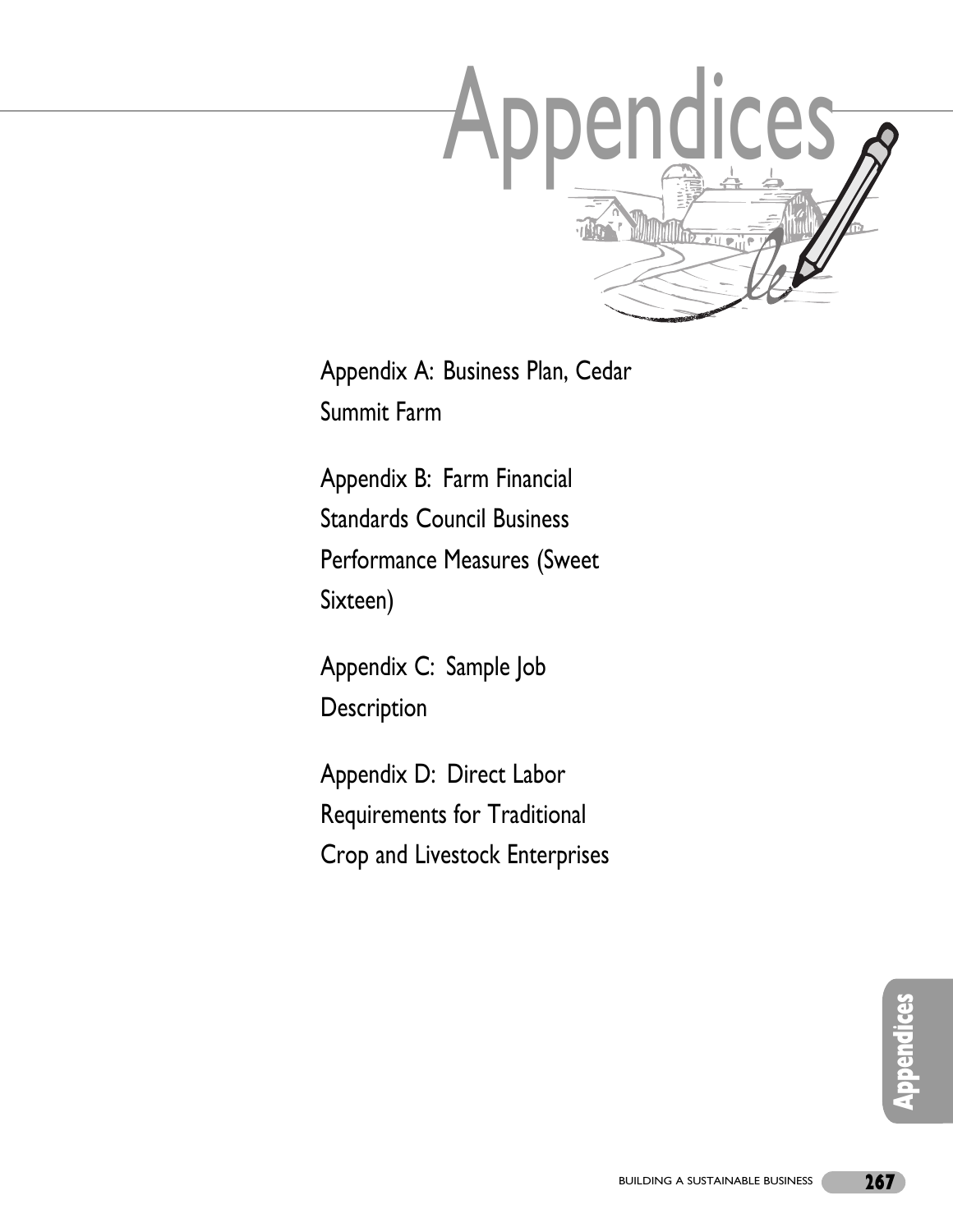

Appendix A: Business Plan, Cedar Summit Farm

appendix B: Farm Financial Standards Council Business Performance Measures (Sweet Sixteen)

appendix C: Sample Job **Description** 

Appendix D: Direct Labor Requirements for Traditional Crop and Livestock Enterprises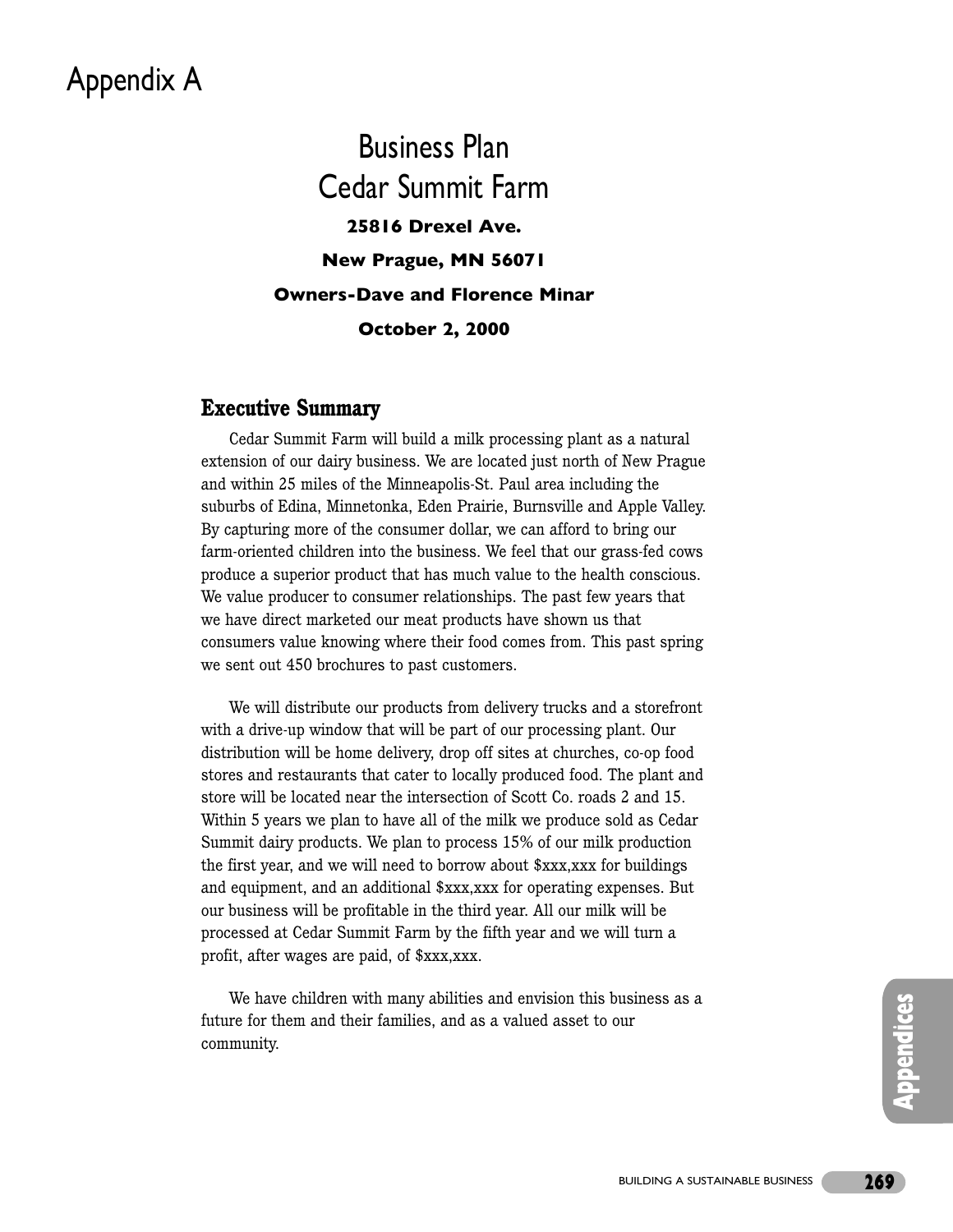# Business Plan Cedar Summit Farm **25816 Drexel Ave. New Prague, MN 56071 Owners-Dave and Florence Minar October 2, 2000**

### **Executive Summary**

Cedar Summit Farm will build a milk processing plant as a natural extension of our dairy business. We are located just north of New Prague and within 25 miles of the Minneapolis-St. Paul area including the suburbs of Edina, Minnetonka, Eden Prairie, Burnsville and Apple Valley. By capturing more of the consumer dollar, we can afford to bring our farm-oriented children into the business. We feel that our grass-fed cows produce a superior product that has much value to the health conscious. We value producer to consumer relationships. The past few years that we have direct marketed our meat products have shown us that consumers value knowing where their food comes from. This past spring we sent out 450 brochures to past customers.

We will distribute our products from delivery trucks and a storefront with a drive-up window that will be part of our processing plant. Our distribution will be home delivery, drop off sites at churches, co-op food stores and restaurants that cater to locally produced food. The plant and store will be located near the intersection of Scott Co. roads 2 and 15. Within 5 years we plan to have all of the milk we produce sold as Cedar Summit dairy products. We plan to process 15% of our milk production the first year, and we will need to borrow about \$xxx,xxx for buildings and equipment, and an additional \$xxx,xxx for operating expenses. But our business will be profitable in the third year. All our milk will be processed at Cedar Summit Farm by the fifth year and we will turn a profit, after wages are paid, of \$xxx,xxx.

We have children with many abilities and envision this business as a future for them and their families, and as a valued asset to our community.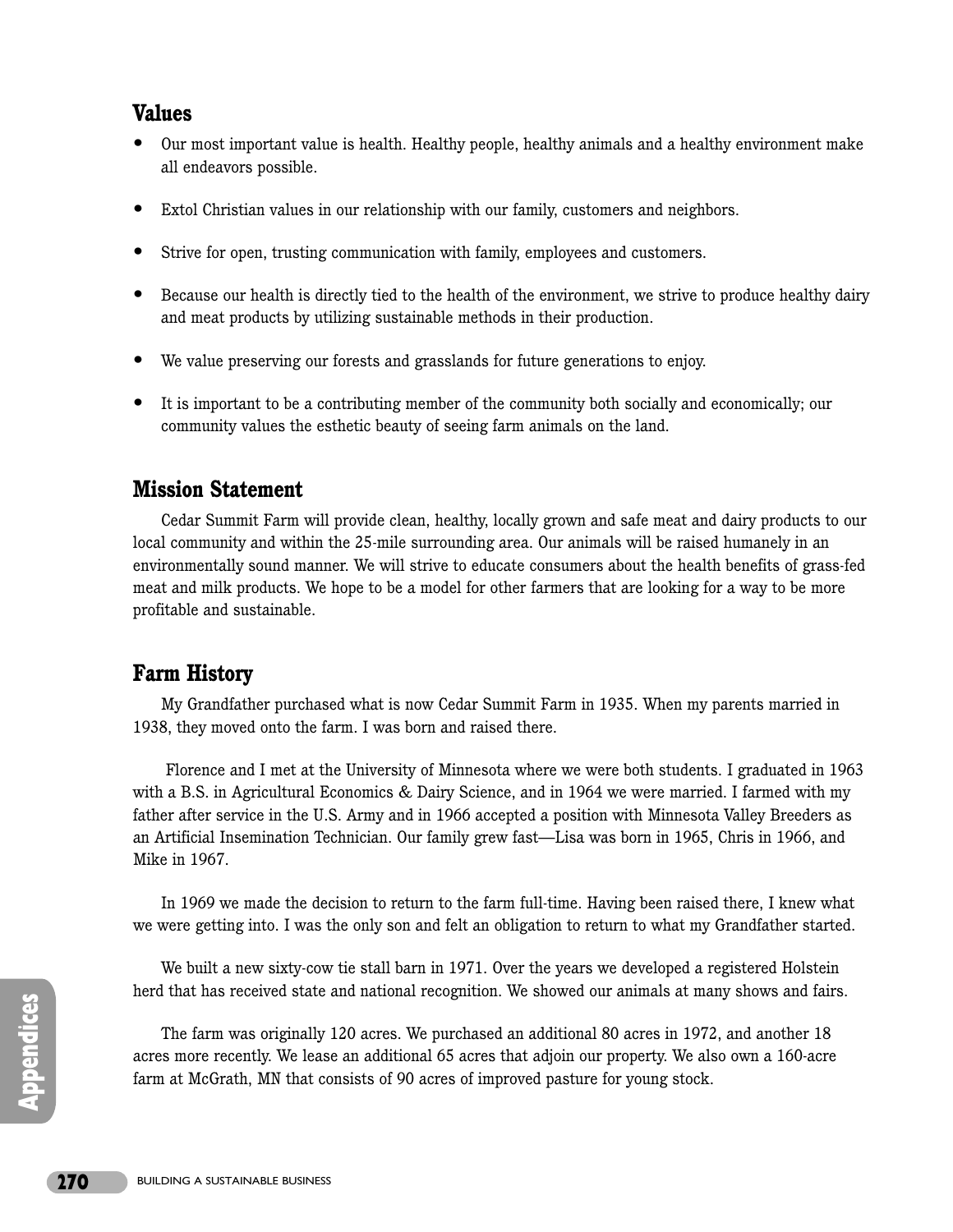### **Values**

- **•** Our most important value is health. Healthy people, healthy animals and a healthy environment make all endeavors possible.
- **•** Extol Christian values in our relationship with our family, customers and neighbors.
- Strive for open, trusting communication with family, employees and customers.
- **•** Because our health is directly tied to the health of the environment, we strive to produce healthy dairy and meat products by utilizing sustainable methods in their production.
- **•** We value preserving our forests and grasslands for future generations to enjoy.
- **•** It is important to be a contributing member of the community both socially and economically; our community values the esthetic beauty of seeing farm animals on the land.

### **Mission Statement**

Cedar Summit Farm will provide clean, healthy, locally grown and safe meat and dairy products to our local community and within the 25-mile surrounding area. Our animals will be raised humanely in an environmentally sound manner. We will strive to educate consumers about the health benefits of grass-fed meat and milk products. We hope to be a model for other farmers that are looking for a way to be more profitable and sustainable.

### **Farm History**

My Grandfather purchased what is now Cedar Summit Farm in 1935. When my parents married in 1938, they moved onto the farm. I was born and raised there.

Florence and I met at the University of Minnesota where we were both students. I graduated in 1963 with a B.S. in Agricultural Economics & Dairy Science, and in 1964 we were married. I farmed with my father after service in the U.S. Army and in 1966 accepted a position with Minnesota Valley Breeders as an Artificial Insemination Technician. Our family grew fast—Lisa was born in 1965, Chris in 1966, and Mike in 1967.

In 1969 we made the decision to return to the farm full-time. Having been raised there, I knew what we were getting into. I was the only son and felt an obligation to return to what my Grandfather started.

We built a new sixty-cow tie stall barn in 1971. Over the years we developed a registered Holstein herd that has received state and national recognition. We showed our animals at many shows and fairs.

The farm was originally 120 acres. We purchased an additional 80 acres in 1972, and another 18 acres more recently. We lease an additional 65 acres that adjoin our property. We also own a 160-acre farm at McGrath, MN that consists of 90 acres of improved pasture for young stock.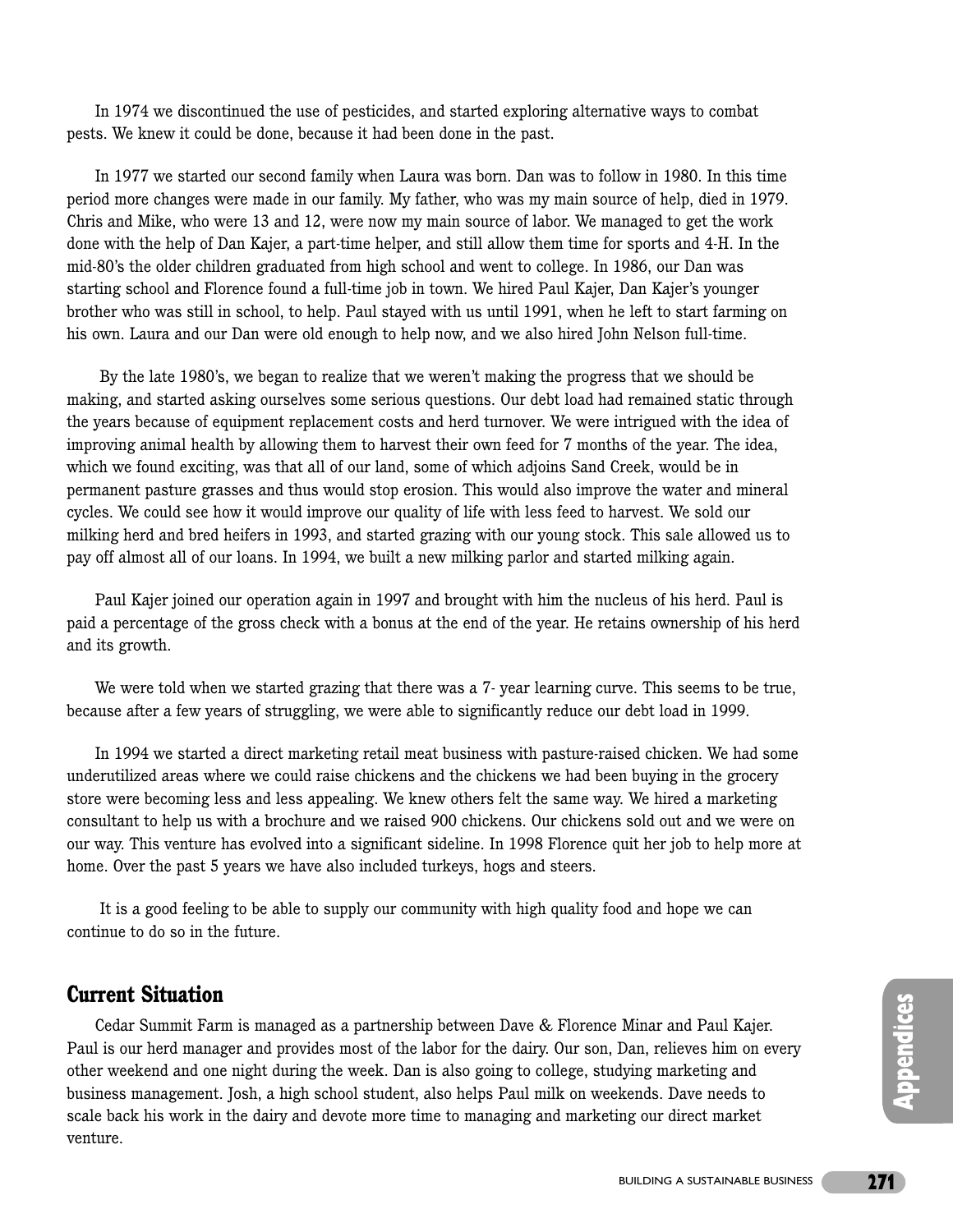In 1974 we discontinued the use of pesticides, and started exploring alternative ways to combat pests. We knew it could be done, because it had been done in the past.

In 1977 we started our second family when Laura was born. Dan was to follow in 1980. In this time period more changes were made in our family. My father, who was my main source of help, died in 1979. Chris and Mike, who were 13 and 12, were now my main source of labor. We managed to get the work done with the help of Dan Kajer, a part-time helper, and still allow them time for sports and 4-H. In the mid-80's the older children graduated from high school and went to college. In 1986, our Dan was starting school and Florence found a full-time job in town. We hired Paul Kajer, Dan Kajer's younger brother who was still in school, to help. Paul stayed with us until 1991, when he left to start farming on his own. Laura and our Dan were old enough to help now, and we also hired John Nelson full-time.

By the late 1980's, we began to realize that we weren't making the progress that we should be making, and started asking ourselves some serious questions. Our debt load had remained static through the years because of equipment replacement costs and herd turnover. We were intrigued with the idea of improving animal health by allowing them to harvest their own feed for 7 months of the year. The idea, which we found exciting, was that all of our land, some of which adjoins Sand Creek, would be in permanent pasture grasses and thus would stop erosion. This would also improve the water and mineral cycles. We could see how it would improve our quality of life with less feed to harvest. We sold our milking herd and bred heifers in 1993, and started grazing with our young stock. This sale allowed us to pay off almost all of our loans. In 1994, we built a new milking parlor and started milking again.

Paul Kajer joined our operation again in 1997 and brought with him the nucleus of his herd. Paul is paid a percentage of the gross check with a bonus at the end of the year. He retains ownership of his herd and its growth.

We were told when we started grazing that there was a 7- year learning curve. This seems to be true, because after a few years of struggling, we were able to significantly reduce our debt load in 1999.

In 1994 we started a direct marketing retail meat business with pasture-raised chicken. We had some underutilized areas where we could raise chickens and the chickens we had been buying in the grocery store were becoming less and less appealing. We knew others felt the same way. We hired a marketing consultant to help us with a brochure and we raised 900 chickens. Our chickens sold out and we were on our way. This venture has evolved into a significant sideline. In 1998 Florence quit her job to help more at home. Over the past 5 years we have also included turkeys, hogs and steers.

It is a good feeling to be able to supply our community with high quality food and hope we can continue to do so in the future.

### **Current Situation**

Cedar Summit Farm is managed as a partnership between Dave & Florence Minar and Paul Kajer. Paul is our herd manager and provides most of the labor for the dairy. Our son, Dan, relieves him on every other weekend and one night during the week. Dan is also going to college, studying marketing and business management. Josh, a high school student, also helps Paul milk on weekends. Dave needs to scale back his work in the dairy and devote more time to managing and marketing our direct market venture.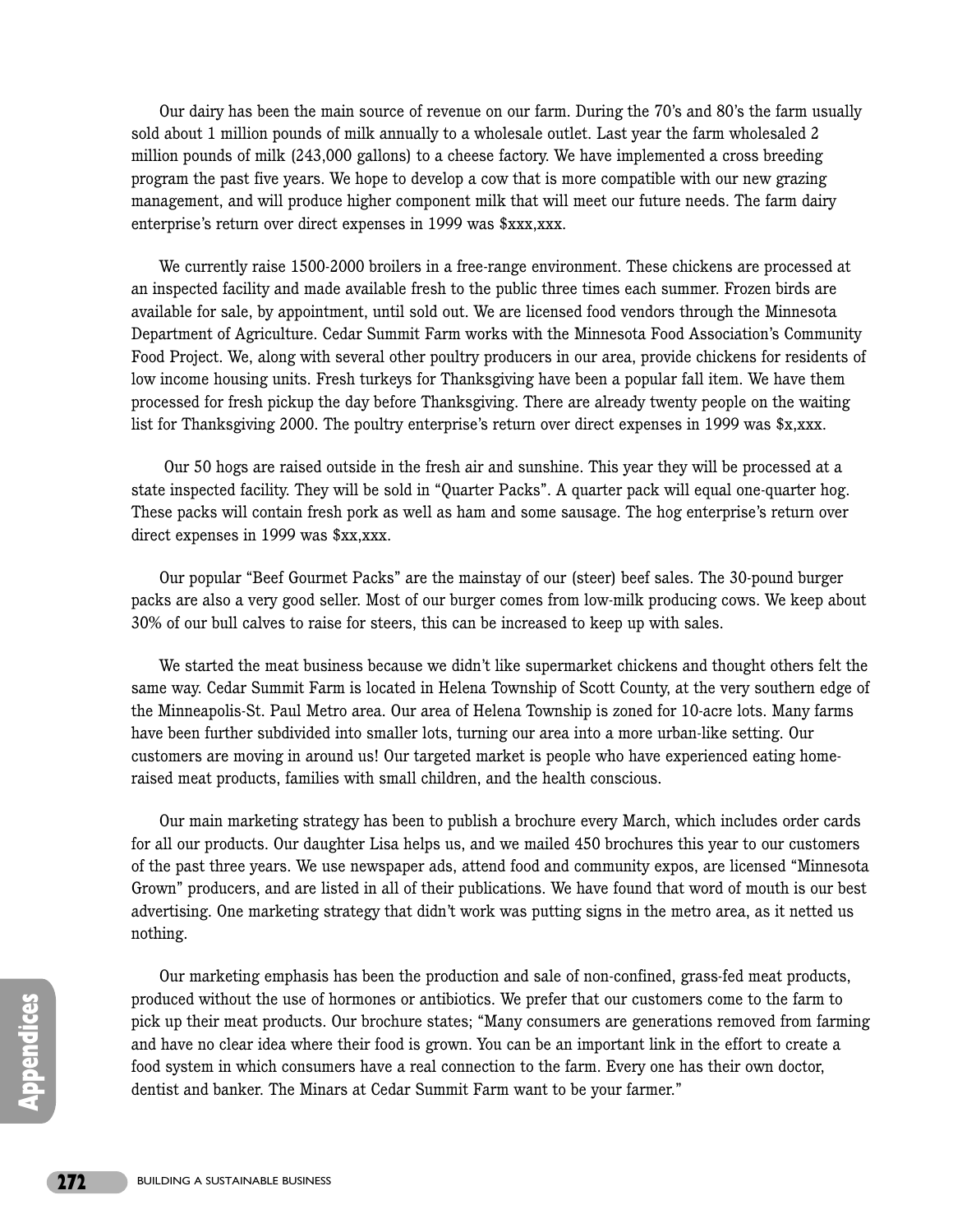Our dairy has been the main source of revenue on our farm. During the 70's and 80's the farm usually sold about 1 million pounds of milk annually to a wholesale outlet. Last year the farm wholesaled 2 million pounds of milk (243,000 gallons) to a cheese factory. We have implemented a cross breeding program the past five years. We hope to develop a cow that is more compatible with our new grazing management, and will produce higher component milk that will meet our future needs. The farm dairy enterprise's return over direct expenses in 1999 was \$xxx,xxx.

We currently raise 1500-2000 broilers in a free-range environment. These chickens are processed at an inspected facility and made available fresh to the public three times each summer. Frozen birds are available for sale, by appointment, until sold out. We are licensed food vendors through the Minnesota Department of Agriculture. Cedar Summit Farm works with the Minnesota Food Association's Community Food Project. We, along with several other poultry producers in our area, provide chickens for residents of low income housing units. Fresh turkeys for Thanksgiving have been a popular fall item. We have them processed for fresh pickup the day before Thanksgiving. There are already twenty people on the waiting list for Thanksgiving 2000. The poultry enterprise's return over direct expenses in 1999 was \$x,xxx.

Our 50 hogs are raised outside in the fresh air and sunshine. This year they will be processed at a state inspected facility. They will be sold in "Quarter Packs". A quarter pack will equal one-quarter hog. These packs will contain fresh pork as well as ham and some sausage. The hog enterprise's return over direct expenses in 1999 was \$xx,xxx.

Our popular "Beef Gourmet Packs" are the mainstay of our (steer) beef sales. The 30-pound burger packs are also a very good seller. Most of our burger comes from low-milk producing cows. We keep about 30% of our bull calves to raise for steers, this can be increased to keep up with sales.

We started the meat business because we didn't like supermarket chickens and thought others felt the same way. Cedar Summit Farm is located in Helena Township of Scott County, at the very southern edge of the Minneapolis-St. Paul Metro area. Our area of Helena Township is zoned for 10-acre lots. Many farms have been further subdivided into smaller lots, turning our area into a more urban-like setting. Our customers are moving in around us! Our targeted market is people who have experienced eating homeraised meat products, families with small children, and the health conscious.

Our main marketing strategy has been to publish a brochure every March, which includes order cards for all our products. Our daughter Lisa helps us, and we mailed 450 brochures this year to our customers of the past three years. We use newspaper ads, attend food and community expos, are licensed "Minnesota Grown" producers, and are listed in all of their publications. We have found that word of mouth is our best advertising. One marketing strategy that didn't work was putting signs in the metro area, as it netted us nothing.

Our marketing emphasis has been the production and sale of non-confined, grass-fed meat products, produced without the use of hormones or antibiotics. We prefer that our customers come to the farm to pick up their meat products. Our brochure states; "Many consumers are generations removed from farming and have no clear idea where their food is grown. You can be an important link in the effort to create a food system in which consumers have a real connection to the farm. Every one has their own doctor, dentist and banker. The Minars at Cedar Summit Farm want to be your farmer." **<sup>A</sup>**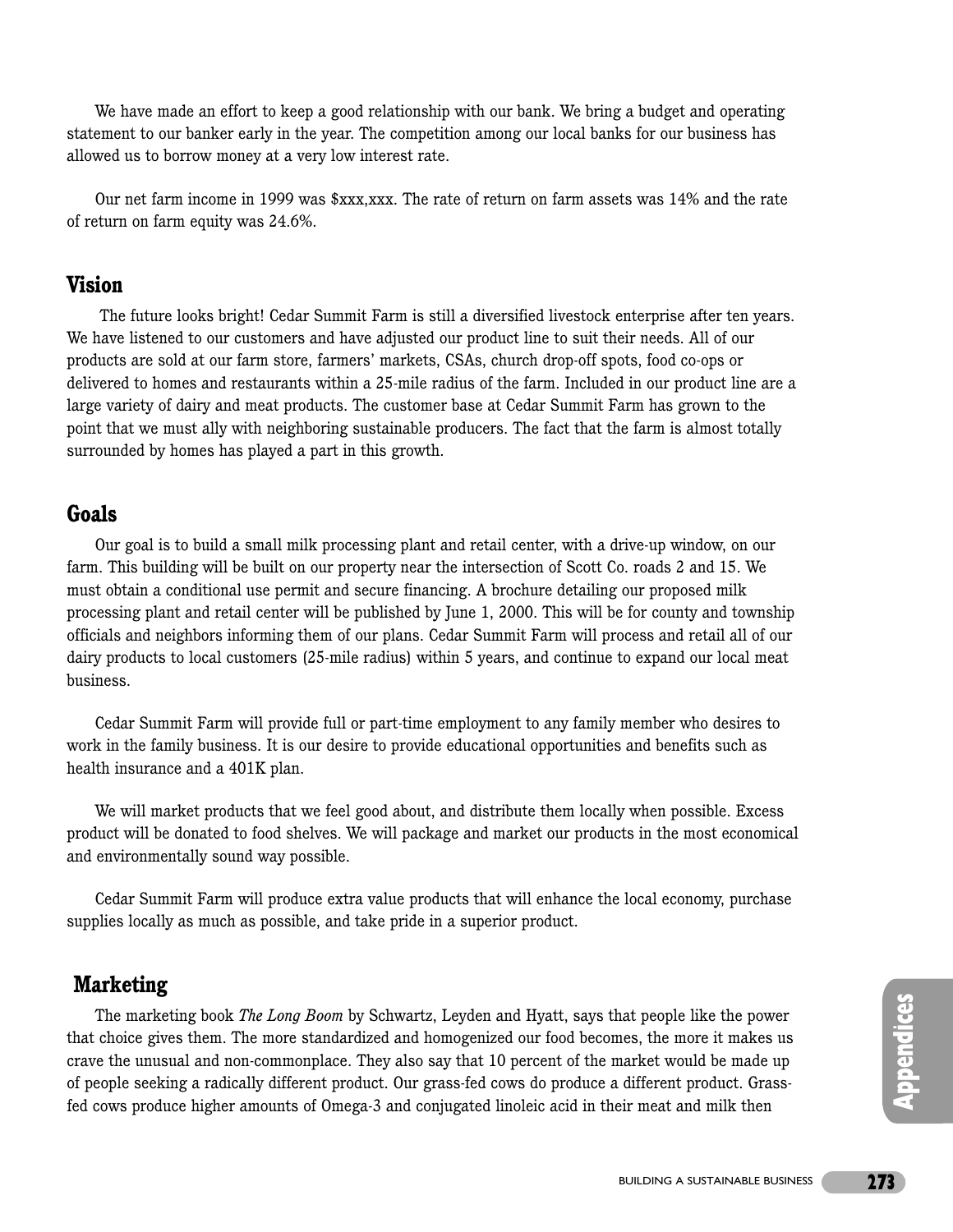We have made an effort to keep a good relationship with our bank. We bring a budget and operating statement to our banker early in the year. The competition among our local banks for our business has allowed us to borrow money at a very low interest rate.

Our net farm income in 1999 was \$xxx,xxx. The rate of return on farm assets was 14% and the rate of return on farm equity was 24.6%.

### **Vision**

The future looks bright! Cedar Summit Farm is still a diversified livestock enterprise after ten years. We have listened to our customers and have adjusted our product line to suit their needs. All of our products are sold at our farm store, farmers' markets, CSAs, church drop-off spots, food co-ops or delivered to homes and restaurants within a 25-mile radius of the farm. Included in our product line are a large variety of dairy and meat products. The customer base at Cedar Summit Farm has grown to the point that we must ally with neighboring sustainable producers. The fact that the farm is almost totally surrounded by homes has played a part in this growth.

### **Goals**

Our goal is to build a small milk processing plant and retail center, with a drive-up window, on our farm. This building will be built on our property near the intersection of Scott Co. roads 2 and 15. We must obtain a conditional use permit and secure financing. A brochure detailing our proposed milk processing plant and retail center will be published by June 1, 2000. This will be for county and township officials and neighbors informing them of our plans. Cedar Summit Farm will process and retail all of our dairy products to local customers (25-mile radius) within 5 years, and continue to expand our local meat business.

Cedar Summit Farm will provide full or part-time employment to any family member who desires to work in the family business. It is our desire to provide educational opportunities and benefits such as health insurance and a 401K plan.

We will market products that we feel good about, and distribute them locally when possible. Excess product will be donated to food shelves. We will package and market our products in the most economical and environmentally sound way possible.

Cedar Summit Farm will produce extra value products that will enhance the local economy, purchase supplies locally as much as possible, and take pride in a superior product.

### **Marketing**

The marketing book *The Long Boom* by Schwartz, Leyden and Hyatt, says that people like the power that choice gives them. The more standardized and homogenized our food becomes, the more it makes us crave the unusual and non-commonplace. They also say that 10 percent of the market would be made up of people seeking a radically different product. Our grass-fed cows do produce a different product. Grassfed cows produce higher amounts of Omega-3 and conjugated linoleic acid in their meat and milk then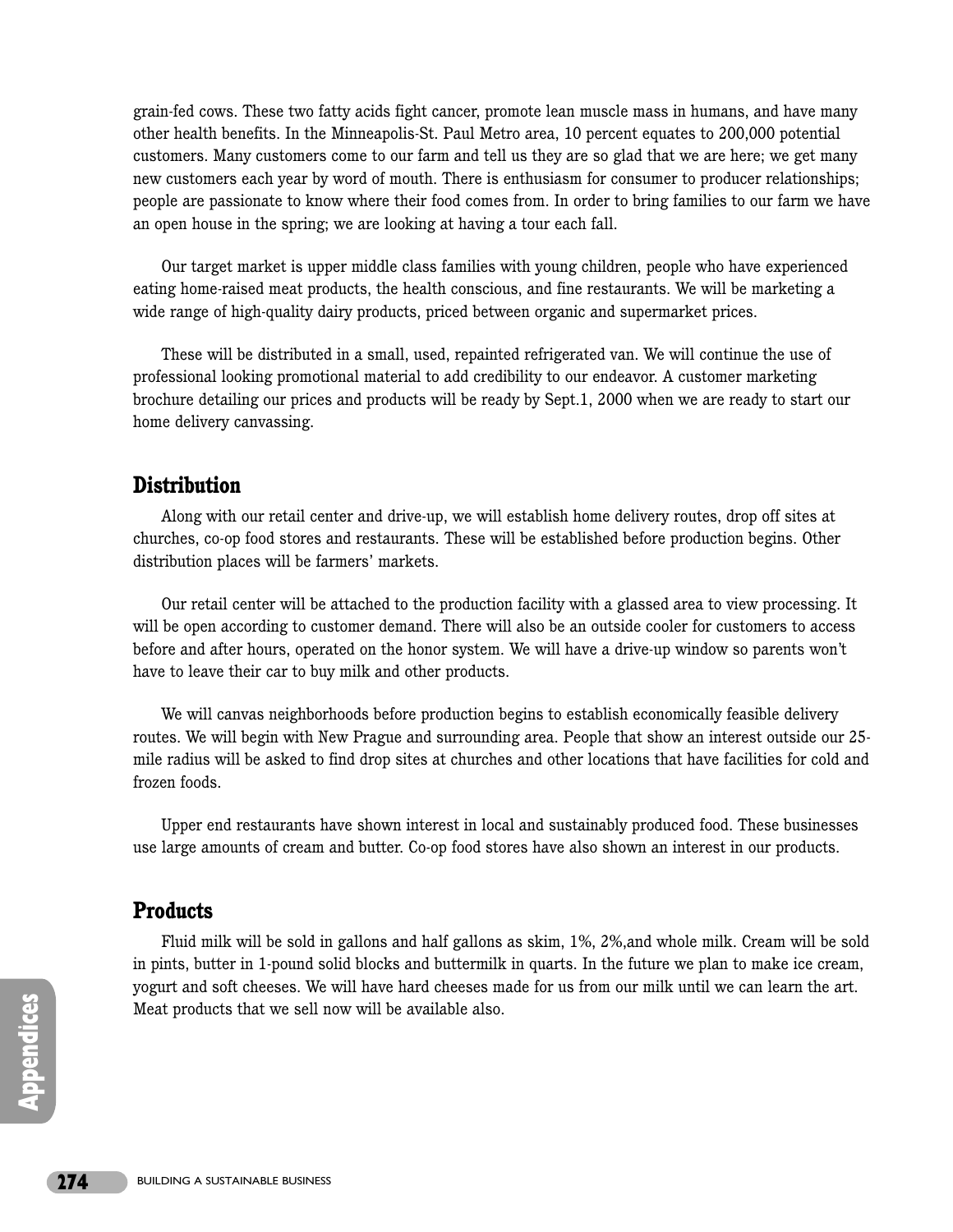grain-fed cows. These two fatty acids fight cancer, promote lean muscle mass in humans, and have many other health benefits. In the Minneapolis-St. Paul Metro area, 10 percent equates to 200,000 potential customers. Many customers come to our farm and tell us they are so glad that we are here; we get many new customers each year by word of mouth. There is enthusiasm for consumer to producer relationships; people are passionate to know where their food comes from. In order to bring families to our farm we have an open house in the spring; we are looking at having a tour each fall.

Our target market is upper middle class families with young children, people who have experienced eating home-raised meat products, the health conscious, and fine restaurants. We will be marketing a wide range of high-quality dairy products, priced between organic and supermarket prices.

These will be distributed in a small, used, repainted refrigerated van. We will continue the use of professional looking promotional material to add credibility to our endeavor. A customer marketing brochure detailing our prices and products will be ready by Sept.1, 2000 when we are ready to start our home delivery canvassing.

### **Distribution**

Along with our retail center and drive-up, we will establish home delivery routes, drop off sites at churches, co-op food stores and restaurants. These will be established before production begins. Other distribution places will be farmers' markets.

Our retail center will be attached to the production facility with a glassed area to view processing. It will be open according to customer demand. There will also be an outside cooler for customers to access before and after hours, operated on the honor system. We will have a drive-up window so parents won't have to leave their car to buy milk and other products.

We will canvas neighborhoods before production begins to establish economically feasible delivery routes. We will begin with New Prague and surrounding area. People that show an interest outside our 25 mile radius will be asked to find drop sites at churches and other locations that have facilities for cold and frozen foods.

Upper end restaurants have shown interest in local and sustainably produced food. These businesses use large amounts of cream and butter. Co-op food stores have also shown an interest in our products.

### **Products**

Fluid milk will be sold in gallons and half gallons as skim, 1%, 2%,and whole milk. Cream will be sold in pints, butter in 1-pound solid blocks and buttermilk in quarts. In the future we plan to make ice cream, yogurt and soft cheeses. We will have hard cheeses made for us from our milk until we can learn the art. Meat products that we sell now will be available also.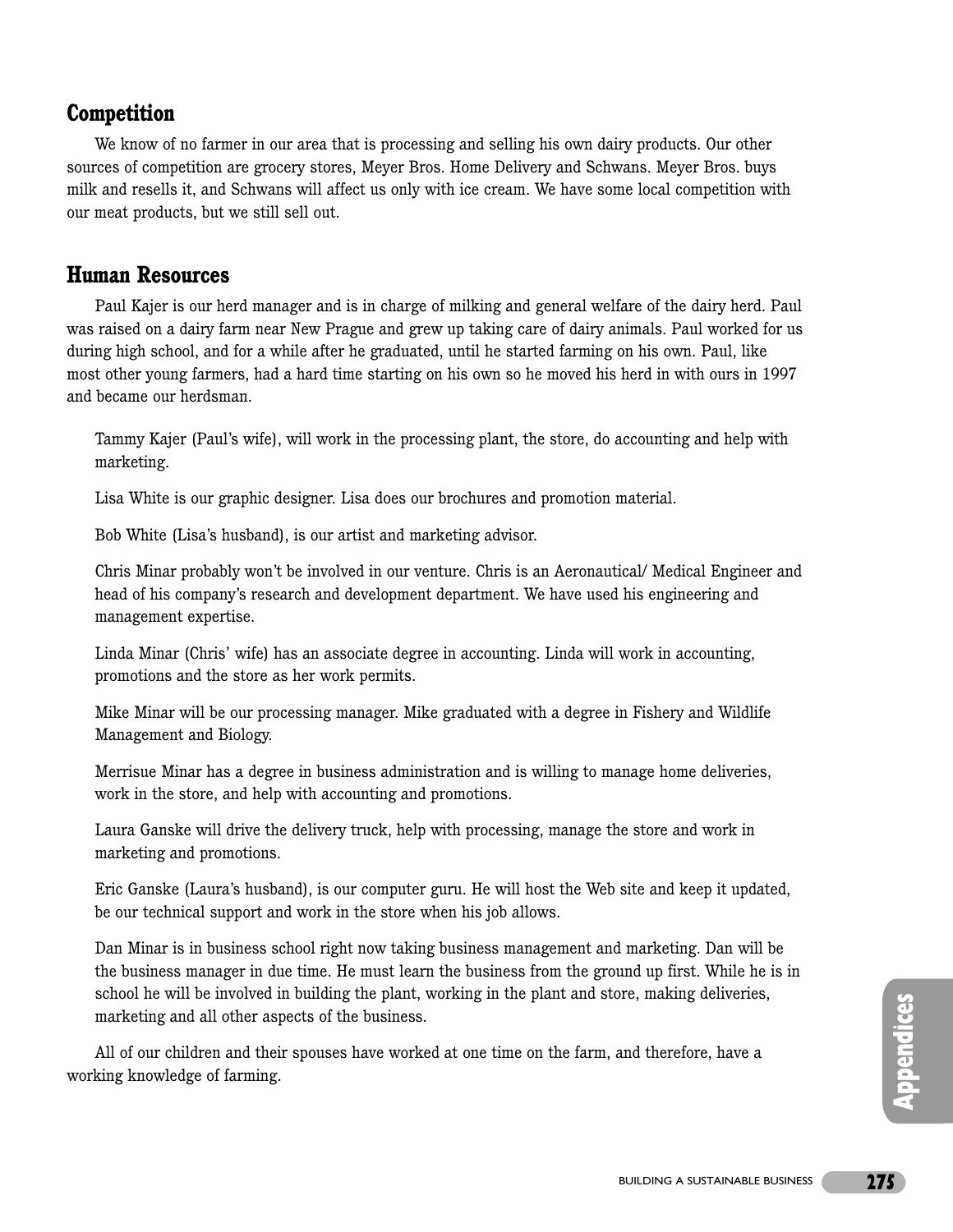### **Competition**

We know of no farmer in our area that is processing and selling his own dairy products. Our other sources of competition are grocery stores, Meyer Bros. Home Delivery and Schwans. Meyer Bros. buys milk and resells it, and Schwans will affect us only with ice cream. We have some local competition with our meat products, but we still sell out.

### **Human Resources**

Paul Kajer is our herd manager and is in charge of milking and general welfare of the dairy herd. Paul was raised on a dairy farm near New Prague and grew up taking care of dairy animals. Paul worked for us during high school, and for a while after he graduated, until he started farming on his own. Paul, like most other young farmers, had a hard time starting on his own so he moved his herd in with ours in 1997 and became our herdsman.

Tammy Kajer (Paul's wife), will work in the processing plant, the store, do accounting and help with marketing.

Lisa White is our graphic designer. Lisa does our brochures and promotion material.

Bob White (Lisa's husband), is our artist and marketing advisor.

Chris Minar probably won't be involved in our venture. Chris is an Aeronautical/ Medical Engineer and head of his company's research and development department. We have used his engineering and management expertise.

Linda Minar (Chris' wife) has an associate degree in accounting. Linda will work in accounting, promotions and the store as her work permits.

Mike Minar will be our processing manager. Mike graduated with a degree in Fishery and Wildlife Management and Biology.

Merrisue Minar has a degree in business administration and is willing to manage home deliveries, work in the store, and help with accounting and promotions.

Laura Ganske will drive the delivery truck, help with processing, manage the store and work in marketing and promotions.

Eric Ganske (Laura's husband), is our computer guru. He will host the Web site and keep it updated, be our technical support and work in the store when his job allows.

Dan Minar is in business school right now taking business management and marketing. Dan will be the business manager in due time. He must learn the business from the ground up first. While he is in school he will be involved in building the plant, working in the plant and store, making deliveries, marketing and all other aspects of the business.

All of our children and their spouses have worked at one time on the farm, and therefore, have a working knowledge of farming.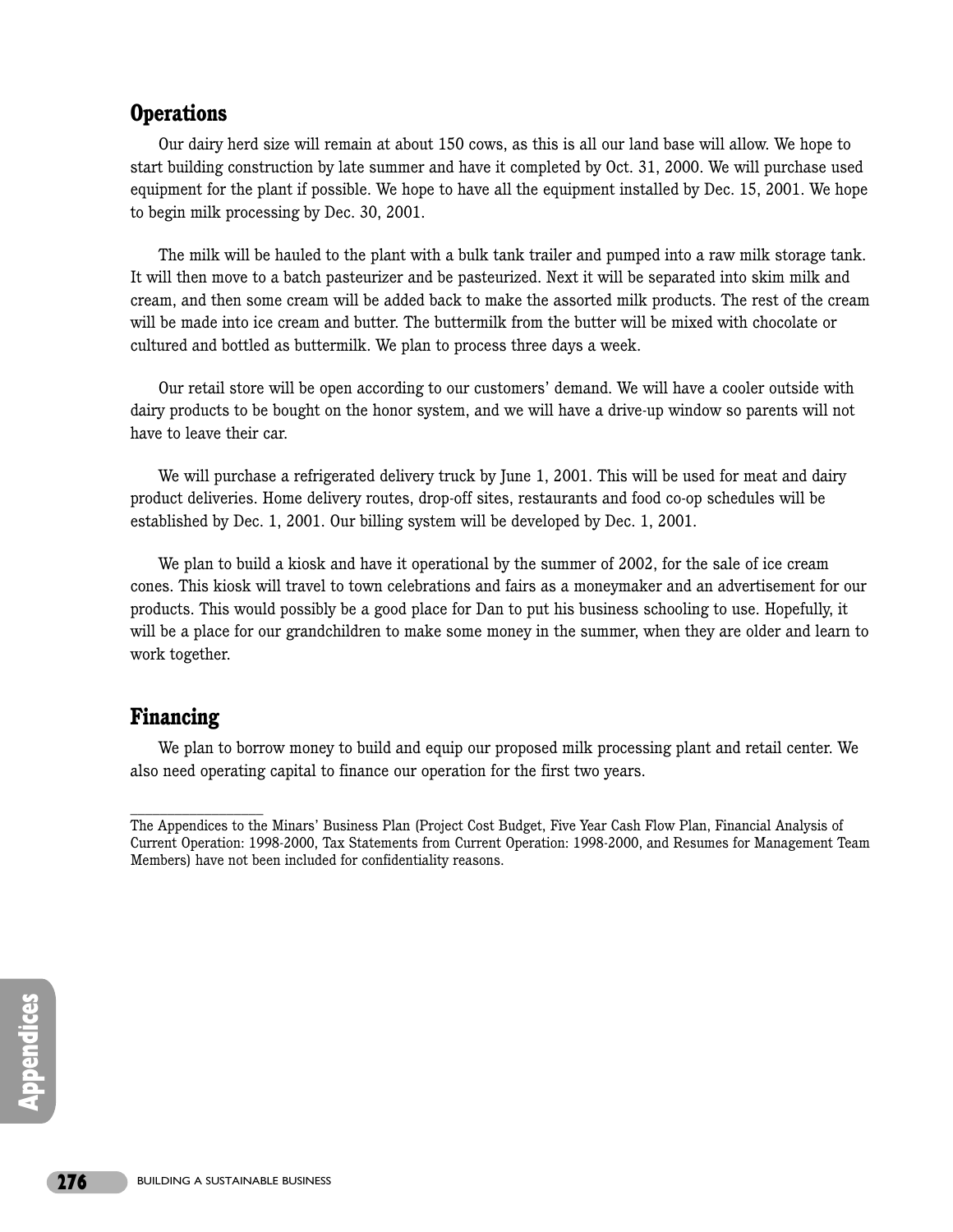### **Operations**

Our dairy herd size will remain at about 150 cows, as this is all our land base will allow. We hope to start building construction by late summer and have it completed by Oct. 31, 2000. We will purchase used equipment for the plant if possible. We hope to have all the equipment installed by Dec. 15, 2001. We hope to begin milk processing by Dec. 30, 2001.

The milk will be hauled to the plant with a bulk tank trailer and pumped into a raw milk storage tank. It will then move to a batch pasteurizer and be pasteurized. Next it will be separated into skim milk and cream, and then some cream will be added back to make the assorted milk products. The rest of the cream will be made into ice cream and butter. The buttermilk from the butter will be mixed with chocolate or cultured and bottled as buttermilk. We plan to process three days a week.

Our retail store will be open according to our customers' demand. We will have a cooler outside with dairy products to be bought on the honor system, and we will have a drive-up window so parents will not have to leave their car.

We will purchase a refrigerated delivery truck by June 1, 2001. This will be used for meat and dairy product deliveries. Home delivery routes, drop-off sites, restaurants and food co-op schedules will be established by Dec. 1, 2001. Our billing system will be developed by Dec. 1, 2001.

We plan to build a kiosk and have it operational by the summer of 2002, for the sale of ice cream cones. This kiosk will travel to town celebrations and fairs as a moneymaker and an advertisement for our products. This would possibly be a good place for Dan to put his business schooling to use. Hopefully, it will be a place for our grandchildren to make some money in the summer, when they are older and learn to work together.

### **Financing**

We plan to borrow money to build and equip our proposed milk processing plant and retail center. We also need operating capital to finance our operation for the first two years.

\_\_\_\_\_\_\_\_\_\_\_\_\_\_\_\_\_\_ The Appendices to the Minars' Business Plan (Project Cost Budget, Five Year Cash Flow Plan, Financial Analysis of Current Operation: 1998-2000, Tax Statements from Current Operation: 1998-2000, and Resumes for Management Team Members) have not been included for confidentiality reasons.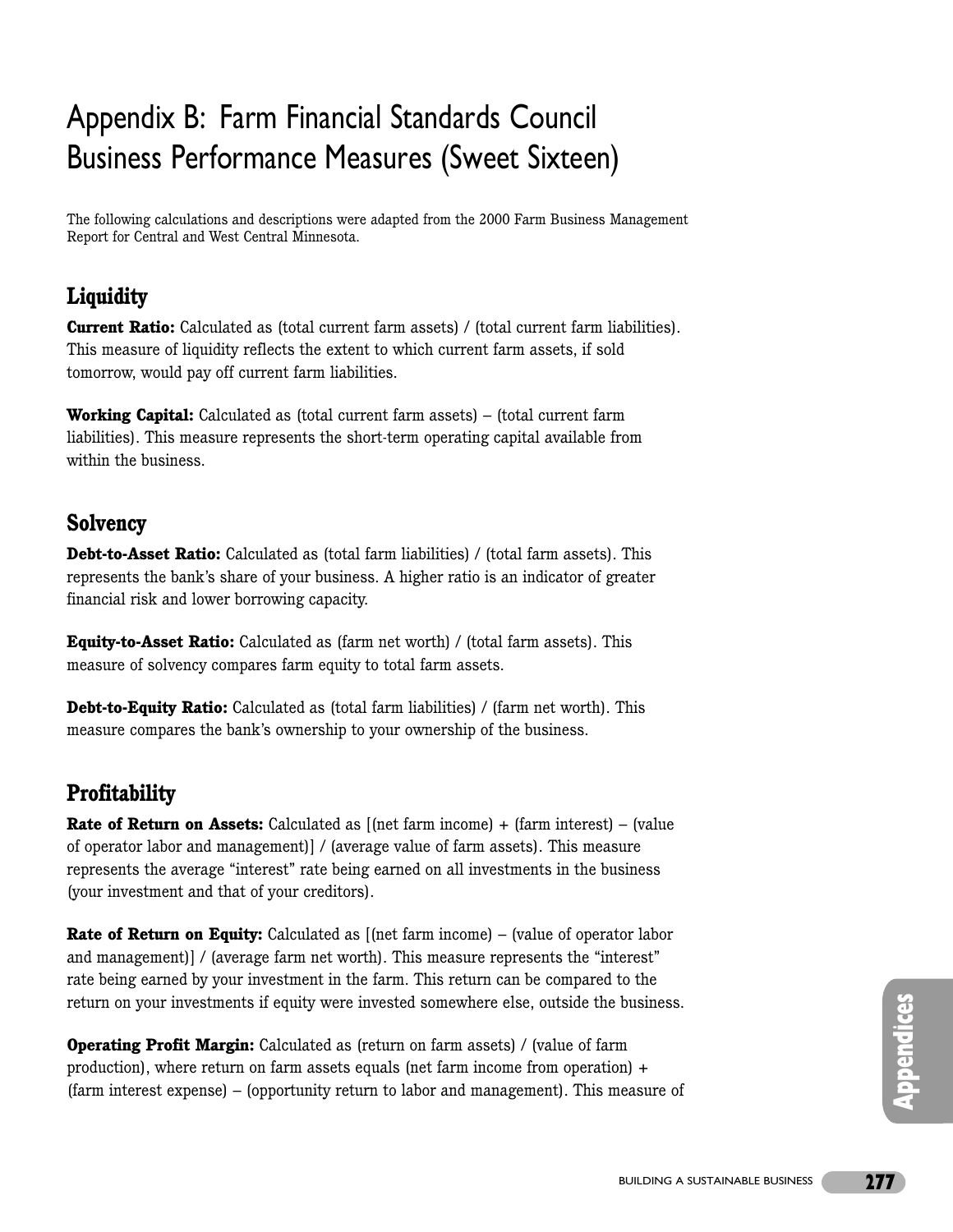# appendix B: Farm Financial Standards Council Business Performance Measures (Sweet Sixteen)

The following calculations and descriptions were adapted from the 2000 Farm Business Management Report for Central and West Central Minnesota.

## **Liquidity**

**Current Ratio:** Calculated as (total current farm assets) / (total current farm liabilities). This measure of liquidity reflects the extent to which current farm assets, if sold tomorrow, would pay off current farm liabilities.

**Working Capital:** Calculated as (total current farm assets) – (total current farm liabilities). This measure represents the short-term operating capital available from within the business.

### **Solvency**

**Debt-to-Asset Ratio:** Calculated as (total farm liabilities) / (total farm assets). This represents the bank's share of your business. A higher ratio is an indicator of greater financial risk and lower borrowing capacity.

**Equity-to-Asset Ratio:** Calculated as (farm net worth) / (total farm assets). This measure of solvency compares farm equity to total farm assets.

**Debt-to-Equity Ratio:** Calculated as (total farm liabilities) / (farm net worth). This measure compares the bank's ownership to your ownership of the business.

# **Profitability**

**Rate of Return on Assets:** Calculated as [(net farm income) + (farm interest) – (value of operator labor and management)] / (average value of farm assets). This measure represents the average "interest" rate being earned on all investments in the business (your investment and that of your creditors).

**Rate of Return on Equity:** Calculated as [(net farm income) – (value of operator labor and management)] / (average farm net worth). This measure represents the "interest" rate being earned by your investment in the farm. This return can be compared to the return on your investments if equity were invested somewhere else, outside the business.

**Operating Profit Margin:** Calculated as (return on farm assets) / (value of farm production), where return on farm assets equals (net farm income from operation) + (farm interest expense) – (opportunity return to labor and management). This measure of **<sup>A</sup>**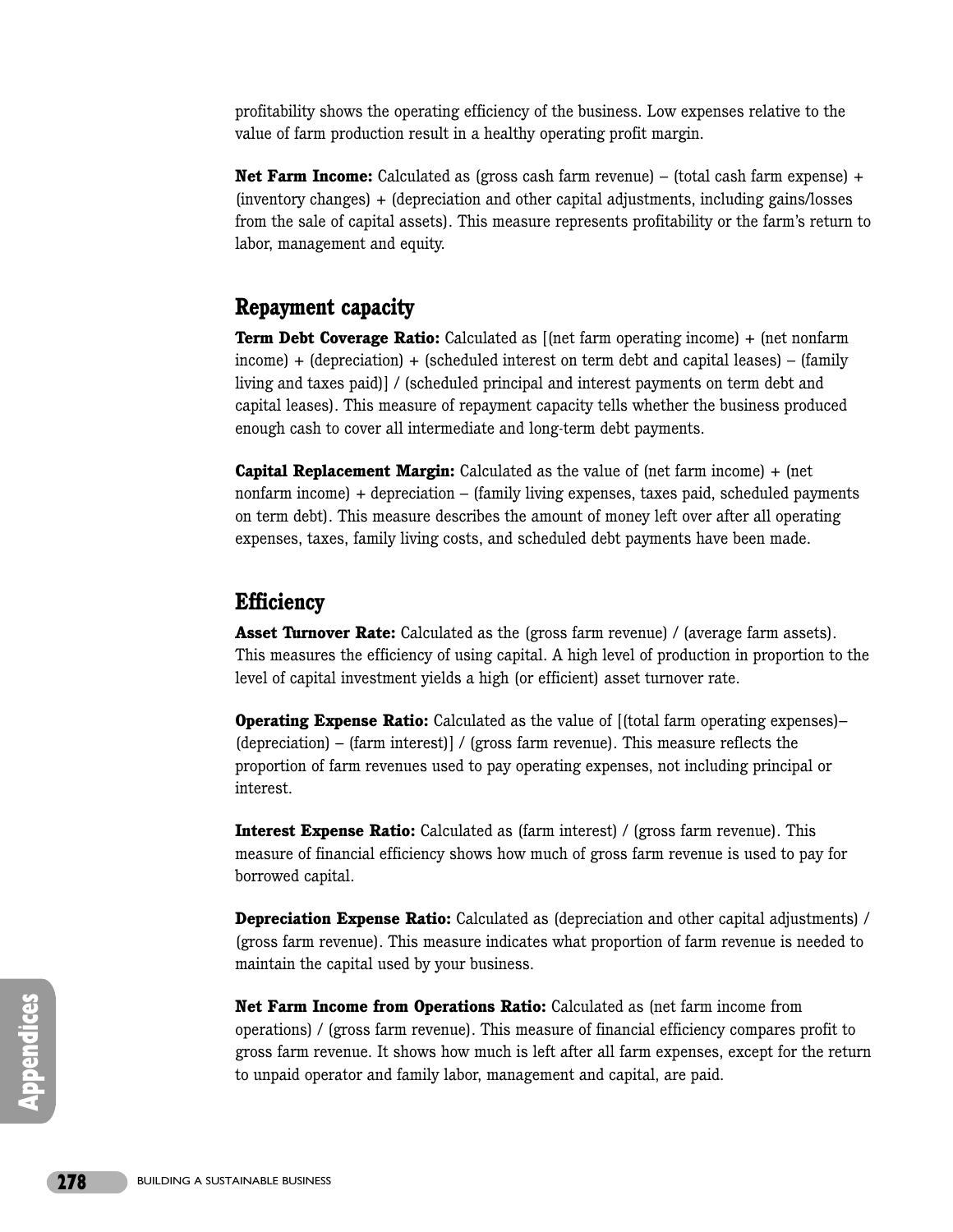profitability shows the operating efficiency of the business. Low expenses relative to the value of farm production result in a healthy operating profit margin.

**Net Farm Income:** Calculated as (gross cash farm revenue) – (total cash farm expense) + (inventory changes) + (depreciation and other capital adjustments, including gains/losses from the sale of capital assets). This measure represents profitability or the farm's return to labor, management and equity.

### **Repayment capacity**

**Term Debt Coverage Ratio:** Calculated as [(net farm operating income) + (net nonfarm income) + (depreciation) + (scheduled interest on term debt and capital leases) – (family living and taxes paid)] / (scheduled principal and interest payments on term debt and capital leases). This measure of repayment capacity tells whether the business produced enough cash to cover all intermediate and long-term debt payments.

**Capital Replacement Margin:** Calculated as the value of (net farm income) + (net nonfarm income) + depreciation – (family living expenses, taxes paid, scheduled payments on term debt). This measure describes the amount of money left over after all operating expenses, taxes, family living costs, and scheduled debt payments have been made.

### **Efficiency**

**Asset Turnover Rate:** Calculated as the (gross farm revenue) / (average farm assets). This measures the efficiency of using capital. A high level of production in proportion to the level of capital investment yields a high (or efficient) asset turnover rate.

**Operating Expense Ratio:** Calculated as the value of [(total farm operating expenses)– (depreciation) – (farm interest)] / (gross farm revenue). This measure reflects the proportion of farm revenues used to pay operating expenses, not including principal or interest.

**Interest Expense Ratio:** Calculated as (farm interest) / (gross farm revenue). This measure of financial efficiency shows how much of gross farm revenue is used to pay for borrowed capital.

**Depreciation Expense Ratio:** Calculated as (depreciation and other capital adjustments) / (gross farm revenue). This measure indicates what proportion of farm revenue is needed to maintain the capital used by your business.

**Net Farm Income from Operations Ratio:** Calculated as (net farm income from operations) / (gross farm revenue). This measure of financial efficiency compares profit to gross farm revenue. It shows how much is left after all farm expenses, except for the return to unpaid operator and family labor, management and capital, are paid.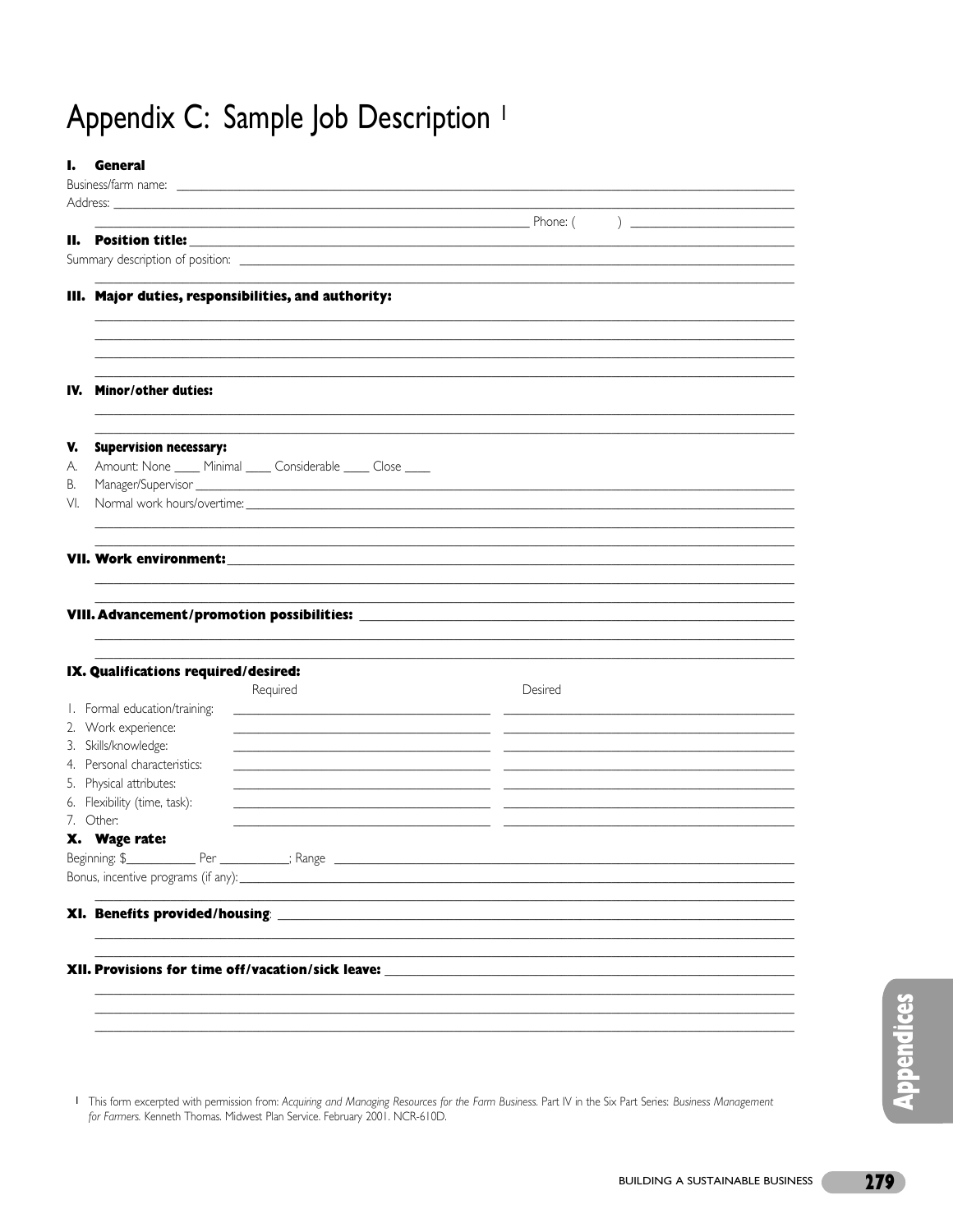# Appendix C: Sample Job Description<sup>1</sup>

| <br>General |
|-------------|
|             |

| <u>Phone:</u> (                                                       | $\begin{tabular}{ c c c c } \hline \quad \quad & \quad \quad & \quad \quad & \quad \quad \\ \hline \end{tabular}$ |
|-----------------------------------------------------------------------|-------------------------------------------------------------------------------------------------------------------|
|                                                                       |                                                                                                                   |
|                                                                       |                                                                                                                   |
| III. Major duties, responsibilities, and authority:                   |                                                                                                                   |
|                                                                       |                                                                                                                   |
|                                                                       |                                                                                                                   |
| IV. Minor/other duties:                                               |                                                                                                                   |
|                                                                       |                                                                                                                   |
| <b>Supervision necessary:</b><br>v.                                   |                                                                                                                   |
| Amount: None _____ Minimal _____ Considerable _____ Close _____<br>А. |                                                                                                                   |
| В.                                                                    |                                                                                                                   |
| VI.                                                                   |                                                                                                                   |
|                                                                       |                                                                                                                   |
|                                                                       |                                                                                                                   |
|                                                                       |                                                                                                                   |
|                                                                       |                                                                                                                   |
|                                                                       |                                                                                                                   |
|                                                                       |                                                                                                                   |
| IX. Qualifications required/desired:                                  |                                                                                                                   |
| Required                                                              | Desired                                                                                                           |
| I. Formal education/training:                                         |                                                                                                                   |
| 2. Work experience:                                                   |                                                                                                                   |
| 3. Skills/knowledge:<br>4. Personal characteristics:                  |                                                                                                                   |
| 5. Physical attributes:                                               |                                                                                                                   |
| 6. Flexibility (time, task):                                          |                                                                                                                   |
| 7. Other:                                                             |                                                                                                                   |
| X. Wage rate:                                                         |                                                                                                                   |
|                                                                       |                                                                                                                   |
| Bonus, incentive programs (if any):                                   |                                                                                                                   |

#### XI. Benefits provided/housing:

XII. Provisions for time off/vacation/sick leave:

I This form excerpted with permission from: Acquiring and Managing Resources for the Farm Business. Part IV in the Six Part Series: Business Management for Farmers. Kenneth Thomas. Midwest Plan Service. February 2001. NCR-610D.